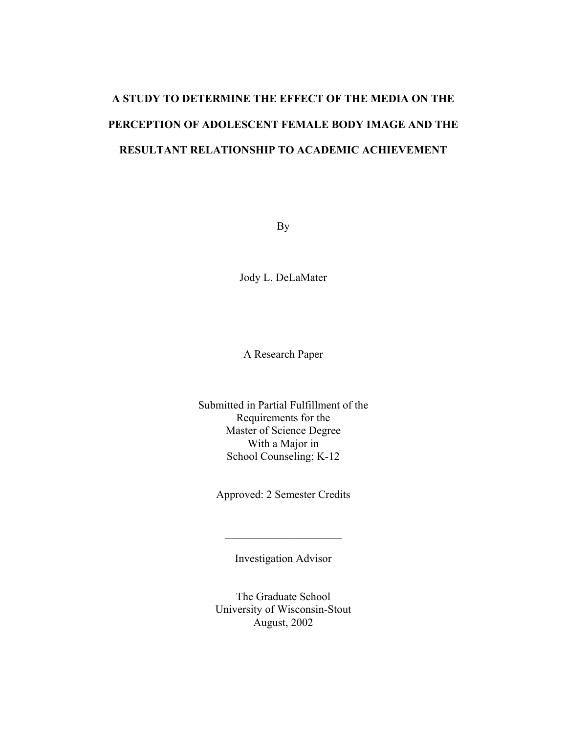# **A STUDY TO DETERMINE THE EFFECT OF THE MEDIA ON THE PERCEPTION OF ADOLESCENT FEMALE BODY IMAGE AND THE RESULTANT RELATIONSHIP TO ACADEMIC ACHIEVEMENT**

By

Jody L. DeLaMater

A Research Paper

Submitted in Partial Fulfillment of the Requirements for the Master of Science Degree With a Major in School Counseling; K-12

Approved: 2 Semester Credits

Investigation Advisor

 $\mathcal{L}_\text{max}$  , where  $\mathcal{L}_\text{max}$  , we have the set of  $\mathcal{L}_\text{max}$ 

The Graduate School University of Wisconsin-Stout August, 2002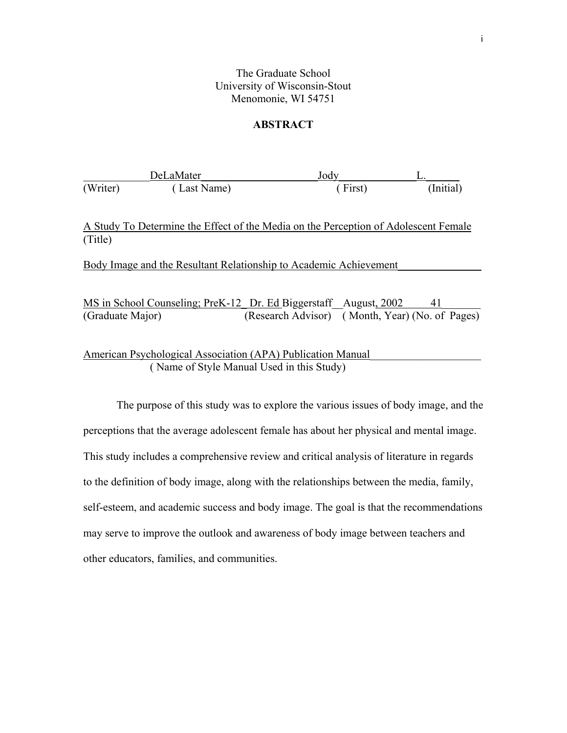## The Graduate School University of Wisconsin-Stout Menomonie, WI 54751

## **ABSTRACT**

|          | <b>DeLaMater</b> | Jody    |           |
|----------|------------------|---------|-----------|
| (Writer) | (Last Name)      | (First) | (Initial) |

A Study To Determine the Effect of the Media on the Perception of Adolescent Female (Title)

Body Image and the Resultant Relationship to Academic Achievement\_\_\_\_\_\_\_\_\_\_\_\_\_\_\_

|                  | MS in School Counseling; PreK-12 Dr. Ed Biggerstaff August, 2002 | - 41 |
|------------------|------------------------------------------------------------------|------|
| (Graduate Major) | (Research Advisor) (Month, Year) (No. of Pages)                  |      |

American Psychological Association (APA) Publication Manual ( Name of Style Manual Used in this Study)

The purpose of this study was to explore the various issues of body image, and the perceptions that the average adolescent female has about her physical and mental image. This study includes a comprehensive review and critical analysis of literature in regards to the definition of body image, along with the relationships between the media, family, self-esteem, and academic success and body image. The goal is that the recommendations may serve to improve the outlook and awareness of body image between teachers and other educators, families, and communities.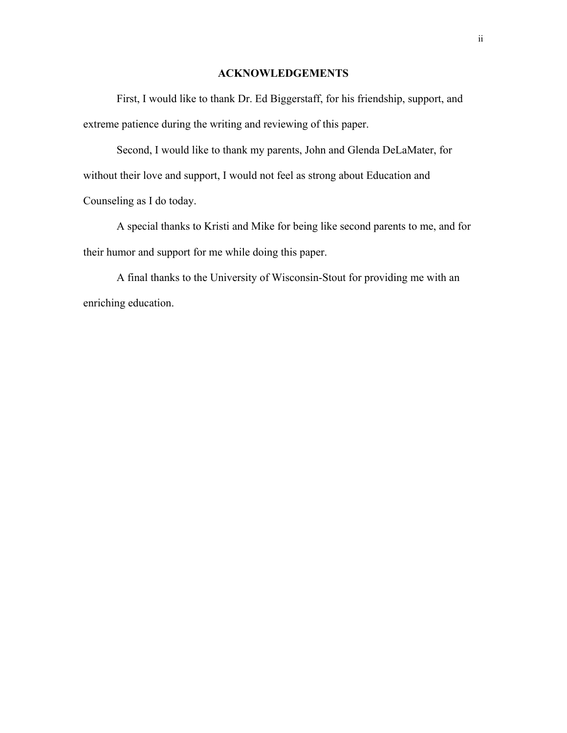## **ACKNOWLEDGEMENTS**

 First, I would like to thank Dr. Ed Biggerstaff, for his friendship, support, and extreme patience during the writing and reviewing of this paper.

 Second, I would like to thank my parents, John and Glenda DeLaMater, for without their love and support, I would not feel as strong about Education and Counseling as I do today.

 A special thanks to Kristi and Mike for being like second parents to me, and for their humor and support for me while doing this paper.

 A final thanks to the University of Wisconsin-Stout for providing me with an enriching education.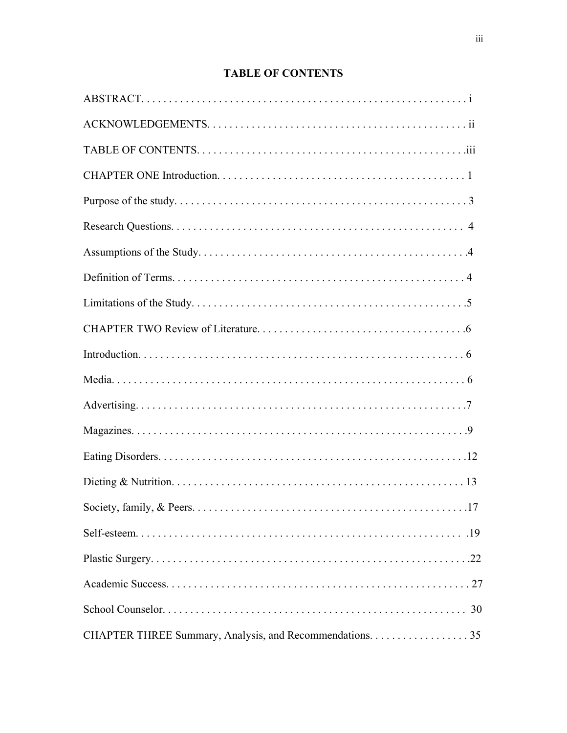# **TABLE OF CONTENTS**

| $\ldots$ .17                                             |
|----------------------------------------------------------|
|                                                          |
|                                                          |
|                                                          |
|                                                          |
| CHAPTER THREE Summary, Analysis, and Recommendations. 35 |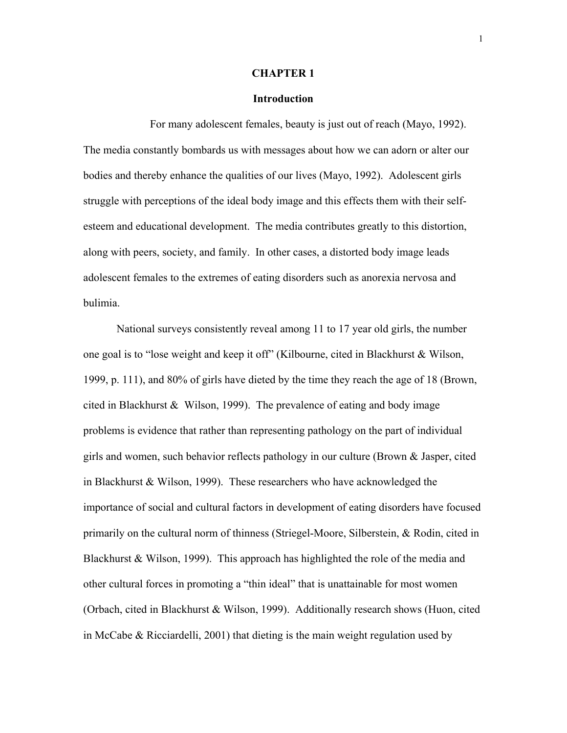#### **CHAPTER 1**

#### **Introduction**

For many adolescent females, beauty is just out of reach (Mayo, 1992). The media constantly bombards us with messages about how we can adorn or alter our bodies and thereby enhance the qualities of our lives (Mayo, 1992). Adolescent girls struggle with perceptions of the ideal body image and this effects them with their selfesteem and educational development. The media contributes greatly to this distortion, along with peers, society, and family. In other cases, a distorted body image leads adolescent females to the extremes of eating disorders such as anorexia nervosa and bulimia.

 National surveys consistently reveal among 11 to 17 year old girls, the number one goal is to "lose weight and keep it off" (Kilbourne, cited in Blackhurst & Wilson, 1999, p. 111), and 80% of girls have dieted by the time they reach the age of 18 (Brown, cited in Blackhurst & Wilson, 1999). The prevalence of eating and body image problems is evidence that rather than representing pathology on the part of individual girls and women, such behavior reflects pathology in our culture (Brown & Jasper, cited in Blackhurst & Wilson, 1999). These researchers who have acknowledged the importance of social and cultural factors in development of eating disorders have focused primarily on the cultural norm of thinness (Striegel-Moore, Silberstein, & Rodin, cited in Blackhurst & Wilson, 1999). This approach has highlighted the role of the media and other cultural forces in promoting a "thin ideal" that is unattainable for most women (Orbach, cited in Blackhurst & Wilson, 1999). Additionally research shows (Huon, cited in McCabe & Ricciardelli, 2001) that dieting is the main weight regulation used by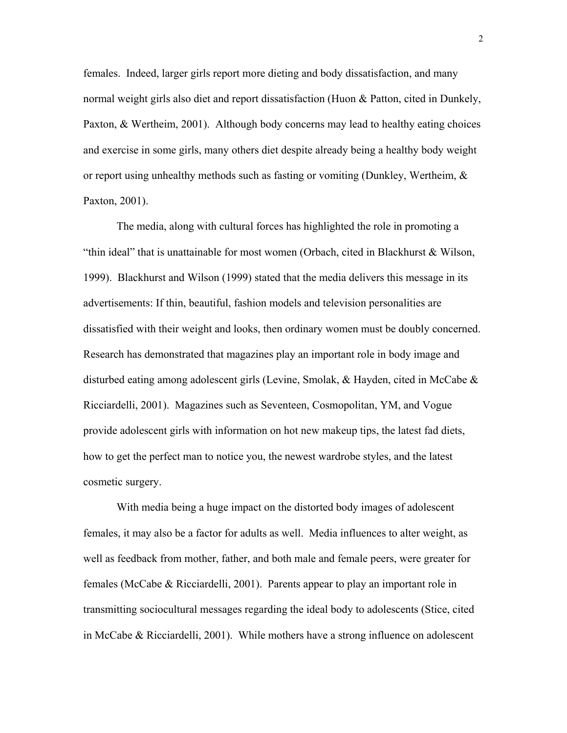females. Indeed, larger girls report more dieting and body dissatisfaction, and many normal weight girls also diet and report dissatisfaction (Huon & Patton, cited in Dunkely, Paxton, & Wertheim, 2001). Although body concerns may lead to healthy eating choices and exercise in some girls, many others diet despite already being a healthy body weight or report using unhealthy methods such as fasting or vomiting (Dunkley, Wertheim,  $\&$ Paxton, 2001).

 The media, along with cultural forces has highlighted the role in promoting a "thin ideal" that is unattainable for most women (Orbach, cited in Blackhurst & Wilson, 1999). Blackhurst and Wilson (1999) stated that the media delivers this message in its advertisements: If thin, beautiful, fashion models and television personalities are dissatisfied with their weight and looks, then ordinary women must be doubly concerned. Research has demonstrated that magazines play an important role in body image and disturbed eating among adolescent girls (Levine, Smolak, & Hayden, cited in McCabe & Ricciardelli, 2001). Magazines such as Seventeen, Cosmopolitan, YM, and Vogue provide adolescent girls with information on hot new makeup tips, the latest fad diets, how to get the perfect man to notice you, the newest wardrobe styles, and the latest cosmetic surgery.

 With media being a huge impact on the distorted body images of adolescent females, it may also be a factor for adults as well. Media influences to alter weight, as well as feedback from mother, father, and both male and female peers, were greater for females (McCabe & Ricciardelli, 2001). Parents appear to play an important role in transmitting sociocultural messages regarding the ideal body to adolescents (Stice, cited in McCabe & Ricciardelli, 2001). While mothers have a strong influence on adolescent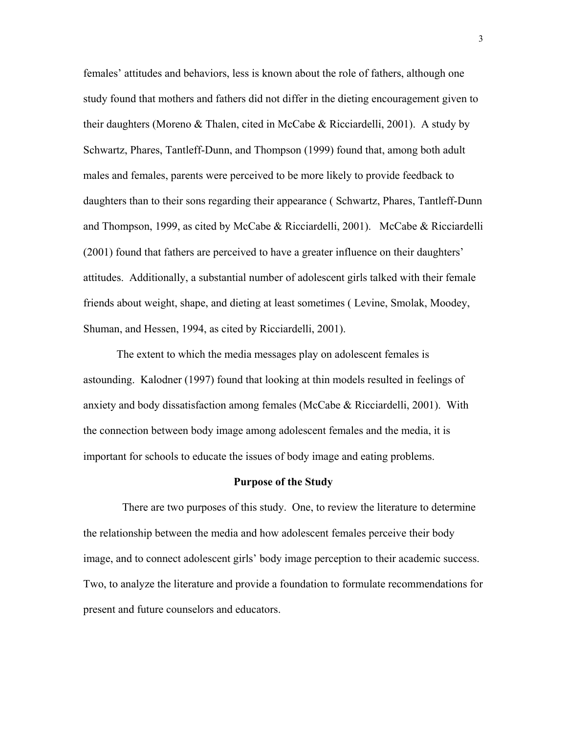females' attitudes and behaviors, less is known about the role of fathers, although one study found that mothers and fathers did not differ in the dieting encouragement given to their daughters (Moreno & Thalen, cited in McCabe & Ricciardelli, 2001). A study by Schwartz, Phares, Tantleff-Dunn, and Thompson (1999) found that, among both adult males and females, parents were perceived to be more likely to provide feedback to daughters than to their sons regarding their appearance ( Schwartz, Phares, Tantleff-Dunn and Thompson, 1999, as cited by McCabe & Ricciardelli, 2001). McCabe & Ricciardelli (2001) found that fathers are perceived to have a greater influence on their daughters' attitudes. Additionally, a substantial number of adolescent girls talked with their female friends about weight, shape, and dieting at least sometimes ( Levine, Smolak, Moodey, Shuman, and Hessen, 1994, as cited by Ricciardelli, 2001).

 The extent to which the media messages play on adolescent females is astounding. Kalodner (1997) found that looking at thin models resulted in feelings of anxiety and body dissatisfaction among females (McCabe & Ricciardelli, 2001). With the connection between body image among adolescent females and the media, it is important for schools to educate the issues of body image and eating problems.

#### **Purpose of the Study**

 There are two purposes of this study. One, to review the literature to determine the relationship between the media and how adolescent females perceive their body image, and to connect adolescent girls' body image perception to their academic success. Two, to analyze the literature and provide a foundation to formulate recommendations for present and future counselors and educators.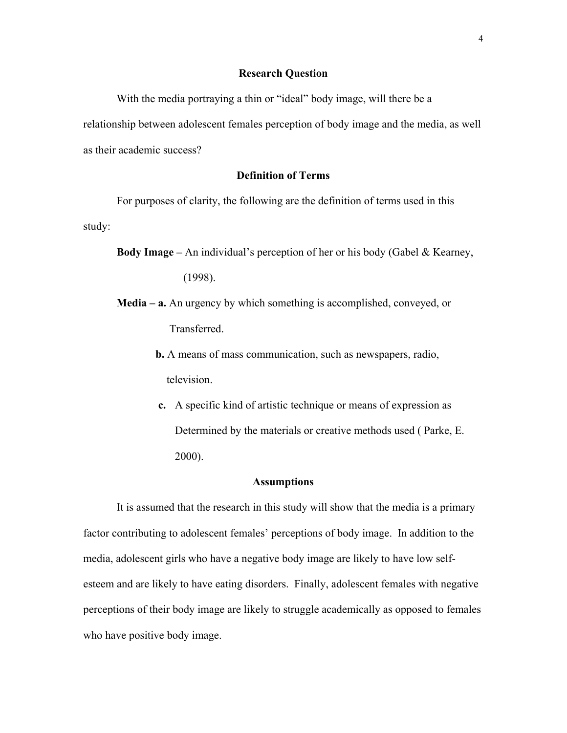## **Research Question**

With the media portraying a thin or "ideal" body image, will there be a relationship between adolescent females perception of body image and the media, as well as their academic success?

## **Definition of Terms**

For purposes of clarity, the following are the definition of terms used in this study:

**Body Image –** An individual's perception of her or his body (Gabel & Kearney,

(1998).

- **Media a.** An urgency by which something is accomplished, conveyed, or Transferred.
	- **b.** A means of mass communication, such as newspapers, radio, television.
	- **c.** A specific kind of artistic technique or means of expression as Determined by the materials or creative methods used ( Parke, E. 2000).

#### **Assumptions**

 It is assumed that the research in this study will show that the media is a primary factor contributing to adolescent females' perceptions of body image. In addition to the media, adolescent girls who have a negative body image are likely to have low selfesteem and are likely to have eating disorders. Finally, adolescent females with negative perceptions of their body image are likely to struggle academically as opposed to females who have positive body image.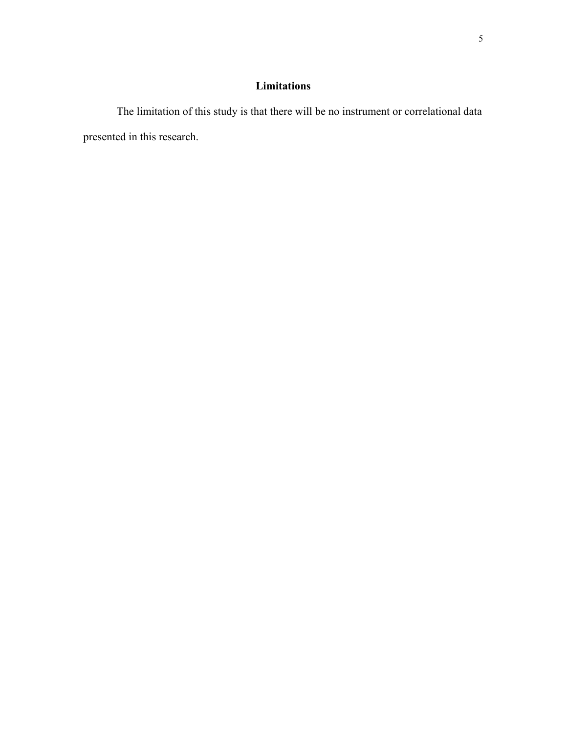## **Limitations**

 The limitation of this study is that there will be no instrument or correlational data presented in this research.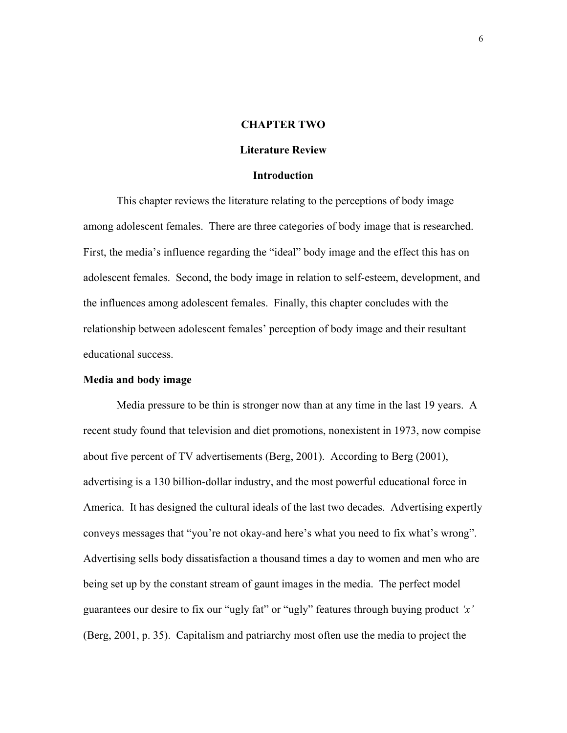## **CHAPTER TWO**

#### **Literature Review**

#### **Introduction**

This chapter reviews the literature relating to the perceptions of body image among adolescent females. There are three categories of body image that is researched. First, the media's influence regarding the "ideal" body image and the effect this has on adolescent females. Second, the body image in relation to self-esteem, development, and the influences among adolescent females. Finally, this chapter concludes with the relationship between adolescent females' perception of body image and their resultant educational success.

#### **Media and body image**

Media pressure to be thin is stronger now than at any time in the last 19 years. A recent study found that television and diet promotions, nonexistent in 1973, now compise about five percent of TV advertisements (Berg, 2001). According to Berg (2001), advertising is a 130 billion-dollar industry, and the most powerful educational force in America. It has designed the cultural ideals of the last two decades. Advertising expertly conveys messages that "you're not okay-and here's what you need to fix what's wrong". Advertising sells body dissatisfaction a thousand times a day to women and men who are being set up by the constant stream of gaunt images in the media. The perfect model guarantees our desire to fix our "ugly fat" or "ugly" features through buying product *'x'* (Berg, 2001, p. 35). Capitalism and patriarchy most often use the media to project the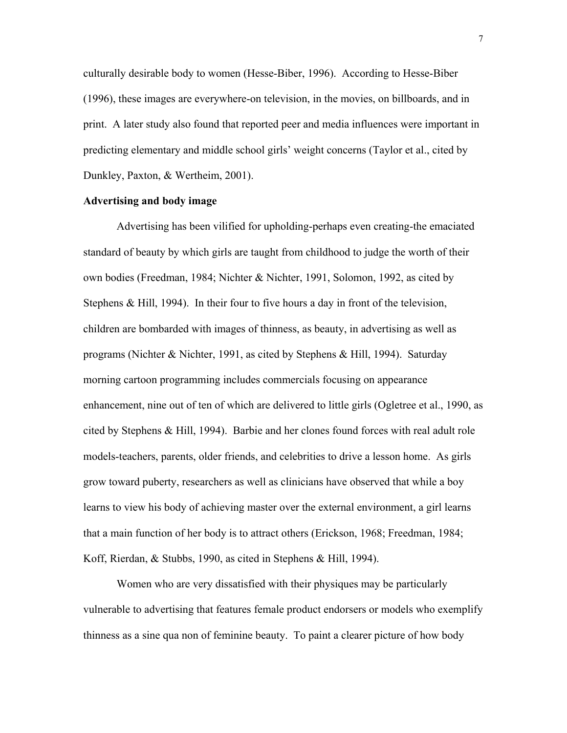culturally desirable body to women (Hesse-Biber, 1996). According to Hesse-Biber (1996), these images are everywhere-on television, in the movies, on billboards, and in print. A later study also found that reported peer and media influences were important in predicting elementary and middle school girls' weight concerns (Taylor et al., cited by Dunkley, Paxton, & Wertheim, 2001).

## **Advertising and body image**

Advertising has been vilified for upholding-perhaps even creating-the emaciated standard of beauty by which girls are taught from childhood to judge the worth of their own bodies (Freedman, 1984; Nichter & Nichter, 1991, Solomon, 1992, as cited by Stephens & Hill, 1994). In their four to five hours a day in front of the television, children are bombarded with images of thinness, as beauty, in advertising as well as programs (Nichter & Nichter, 1991, as cited by Stephens & Hill, 1994). Saturday morning cartoon programming includes commercials focusing on appearance enhancement, nine out of ten of which are delivered to little girls (Ogletree et al., 1990, as cited by Stephens & Hill, 1994). Barbie and her clones found forces with real adult role models-teachers, parents, older friends, and celebrities to drive a lesson home. As girls grow toward puberty, researchers as well as clinicians have observed that while a boy learns to view his body of achieving master over the external environment, a girl learns that a main function of her body is to attract others (Erickson, 1968; Freedman, 1984; Koff, Rierdan, & Stubbs, 1990, as cited in Stephens & Hill, 1994).

 Women who are very dissatisfied with their physiques may be particularly vulnerable to advertising that features female product endorsers or models who exemplify thinness as a sine qua non of feminine beauty. To paint a clearer picture of how body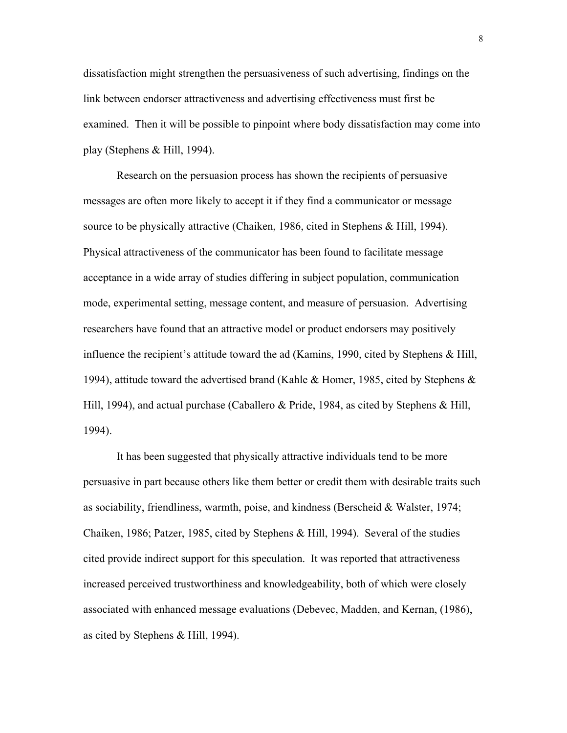dissatisfaction might strengthen the persuasiveness of such advertising, findings on the link between endorser attractiveness and advertising effectiveness must first be examined. Then it will be possible to pinpoint where body dissatisfaction may come into play (Stephens & Hill, 1994).

 Research on the persuasion process has shown the recipients of persuasive messages are often more likely to accept it if they find a communicator or message source to be physically attractive (Chaiken, 1986, cited in Stephens & Hill, 1994). Physical attractiveness of the communicator has been found to facilitate message acceptance in a wide array of studies differing in subject population, communication mode, experimental setting, message content, and measure of persuasion. Advertising researchers have found that an attractive model or product endorsers may positively influence the recipient's attitude toward the ad (Kamins, 1990, cited by Stephens & Hill, 1994), attitude toward the advertised brand (Kahle & Homer, 1985, cited by Stephens & Hill, 1994), and actual purchase (Caballero & Pride, 1984, as cited by Stephens & Hill, 1994).

 It has been suggested that physically attractive individuals tend to be more persuasive in part because others like them better or credit them with desirable traits such as sociability, friendliness, warmth, poise, and kindness (Berscheid & Walster, 1974; Chaiken, 1986; Patzer, 1985, cited by Stephens & Hill, 1994). Several of the studies cited provide indirect support for this speculation. It was reported that attractiveness increased perceived trustworthiness and knowledgeability, both of which were closely associated with enhanced message evaluations (Debevec, Madden, and Kernan, (1986), as cited by Stephens & Hill, 1994).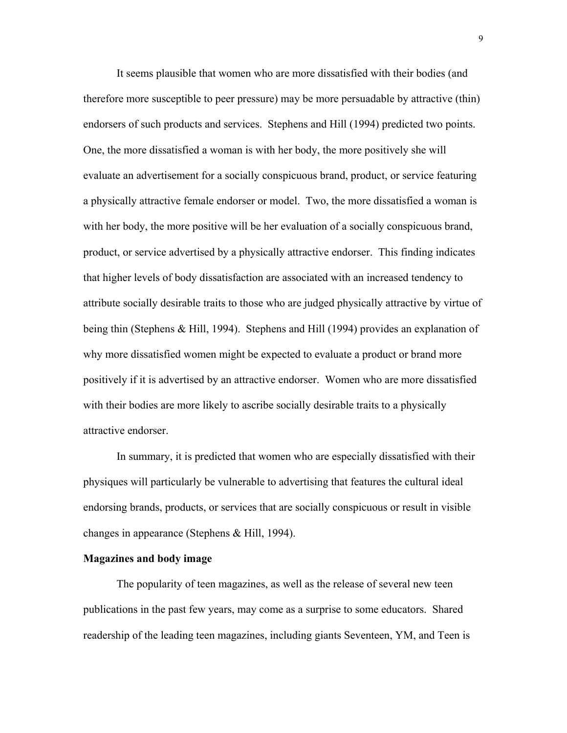It seems plausible that women who are more dissatisfied with their bodies (and therefore more susceptible to peer pressure) may be more persuadable by attractive (thin) endorsers of such products and services. Stephens and Hill (1994) predicted two points. One, the more dissatisfied a woman is with her body, the more positively she will evaluate an advertisement for a socially conspicuous brand, product, or service featuring a physically attractive female endorser or model. Two, the more dissatisfied a woman is with her body, the more positive will be her evaluation of a socially conspicuous brand, product, or service advertised by a physically attractive endorser. This finding indicates that higher levels of body dissatisfaction are associated with an increased tendency to attribute socially desirable traits to those who are judged physically attractive by virtue of being thin (Stephens & Hill, 1994). Stephens and Hill (1994) provides an explanation of why more dissatisfied women might be expected to evaluate a product or brand more positively if it is advertised by an attractive endorser. Women who are more dissatisfied with their bodies are more likely to ascribe socially desirable traits to a physically attractive endorser.

 In summary, it is predicted that women who are especially dissatisfied with their physiques will particularly be vulnerable to advertising that features the cultural ideal endorsing brands, products, or services that are socially conspicuous or result in visible changes in appearance (Stephens & Hill, 1994).

### **Magazines and body image**

The popularity of teen magazines, as well as the release of several new teen publications in the past few years, may come as a surprise to some educators. Shared readership of the leading teen magazines, including giants Seventeen, YM, and Teen is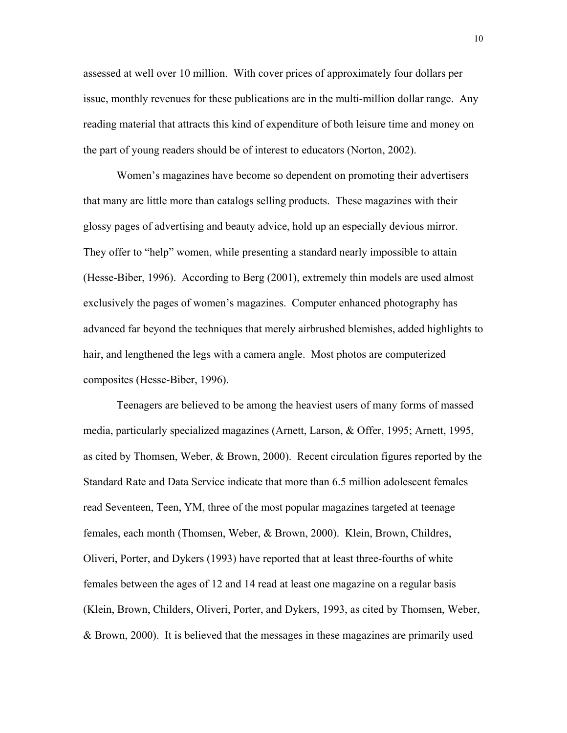assessed at well over 10 million. With cover prices of approximately four dollars per issue, monthly revenues for these publications are in the multi-million dollar range. Any reading material that attracts this kind of expenditure of both leisure time and money on the part of young readers should be of interest to educators (Norton, 2002).

Women's magazines have become so dependent on promoting their advertisers that many are little more than catalogs selling products. These magazines with their glossy pages of advertising and beauty advice, hold up an especially devious mirror. They offer to "help" women, while presenting a standard nearly impossible to attain (Hesse-Biber, 1996). According to Berg (2001), extremely thin models are used almost exclusively the pages of women's magazines. Computer enhanced photography has advanced far beyond the techniques that merely airbrushed blemishes, added highlights to hair, and lengthened the legs with a camera angle. Most photos are computerized composites (Hesse-Biber, 1996).

 Teenagers are believed to be among the heaviest users of many forms of massed media, particularly specialized magazines (Arnett, Larson, & Offer, 1995; Arnett, 1995, as cited by Thomsen, Weber, & Brown, 2000). Recent circulation figures reported by the Standard Rate and Data Service indicate that more than 6.5 million adolescent females read Seventeen, Teen, YM, three of the most popular magazines targeted at teenage females, each month (Thomsen, Weber, & Brown, 2000). Klein, Brown, Childres, Oliveri, Porter, and Dykers (1993) have reported that at least three-fourths of white females between the ages of 12 and 14 read at least one magazine on a regular basis (Klein, Brown, Childers, Oliveri, Porter, and Dykers, 1993, as cited by Thomsen, Weber, & Brown, 2000). It is believed that the messages in these magazines are primarily used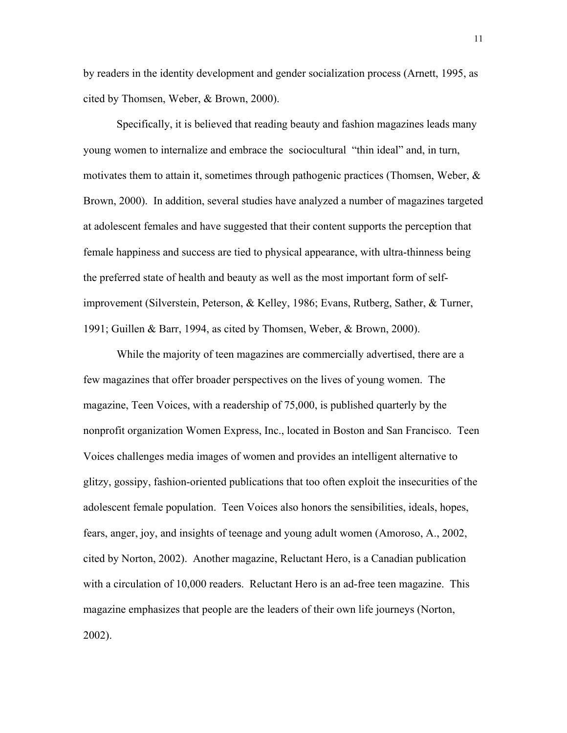by readers in the identity development and gender socialization process (Arnett, 1995, as cited by Thomsen, Weber, & Brown, 2000).

 Specifically, it is believed that reading beauty and fashion magazines leads many young women to internalize and embrace the sociocultural "thin ideal" and, in turn, motivates them to attain it, sometimes through pathogenic practices (Thomsen, Weber,  $\&$ Brown, 2000). In addition, several studies have analyzed a number of magazines targeted at adolescent females and have suggested that their content supports the perception that female happiness and success are tied to physical appearance, with ultra-thinness being the preferred state of health and beauty as well as the most important form of selfimprovement (Silverstein, Peterson, & Kelley, 1986; Evans, Rutberg, Sather, & Turner, 1991; Guillen & Barr, 1994, as cited by Thomsen, Weber, & Brown, 2000).

 While the majority of teen magazines are commercially advertised, there are a few magazines that offer broader perspectives on the lives of young women. The magazine, Teen Voices, with a readership of 75,000, is published quarterly by the nonprofit organization Women Express, Inc., located in Boston and San Francisco. Teen Voices challenges media images of women and provides an intelligent alternative to glitzy, gossipy, fashion-oriented publications that too often exploit the insecurities of the adolescent female population. Teen Voices also honors the sensibilities, ideals, hopes, fears, anger, joy, and insights of teenage and young adult women (Amoroso, A., 2002, cited by Norton, 2002). Another magazine, Reluctant Hero, is a Canadian publication with a circulation of 10,000 readers. Reluctant Hero is an ad-free teen magazine. This magazine emphasizes that people are the leaders of their own life journeys (Norton, 2002).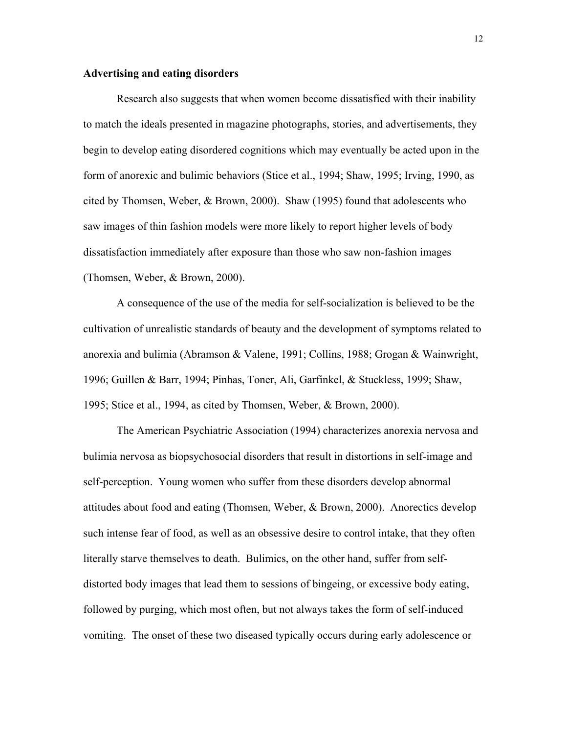## **Advertising and eating disorders**

Research also suggests that when women become dissatisfied with their inability to match the ideals presented in magazine photographs, stories, and advertisements, they begin to develop eating disordered cognitions which may eventually be acted upon in the form of anorexic and bulimic behaviors (Stice et al., 1994; Shaw, 1995; Irving, 1990, as cited by Thomsen, Weber, & Brown, 2000). Shaw (1995) found that adolescents who saw images of thin fashion models were more likely to report higher levels of body dissatisfaction immediately after exposure than those who saw non-fashion images (Thomsen, Weber, & Brown, 2000).

 A consequence of the use of the media for self-socialization is believed to be the cultivation of unrealistic standards of beauty and the development of symptoms related to anorexia and bulimia (Abramson & Valene, 1991; Collins, 1988; Grogan & Wainwright, 1996; Guillen & Barr, 1994; Pinhas, Toner, Ali, Garfinkel, & Stuckless, 1999; Shaw, 1995; Stice et al., 1994, as cited by Thomsen, Weber, & Brown, 2000).

 The American Psychiatric Association (1994) characterizes anorexia nervosa and bulimia nervosa as biopsychosocial disorders that result in distortions in self-image and self-perception. Young women who suffer from these disorders develop abnormal attitudes about food and eating (Thomsen, Weber, & Brown, 2000). Anorectics develop such intense fear of food, as well as an obsessive desire to control intake, that they often literally starve themselves to death. Bulimics, on the other hand, suffer from selfdistorted body images that lead them to sessions of bingeing, or excessive body eating, followed by purging, which most often, but not always takes the form of self-induced vomiting. The onset of these two diseased typically occurs during early adolescence or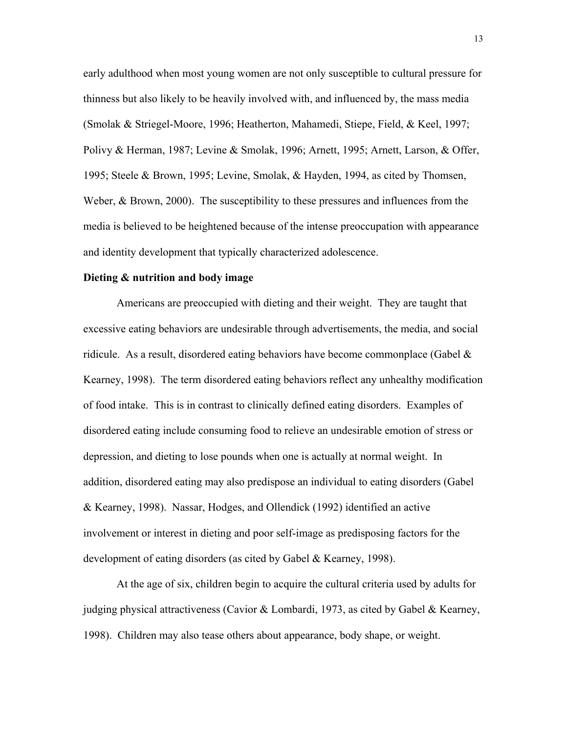early adulthood when most young women are not only susceptible to cultural pressure for thinness but also likely to be heavily involved with, and influenced by, the mass media (Smolak & Striegel-Moore, 1996; Heatherton, Mahamedi, Stiepe, Field, & Keel, 1997; Polivy & Herman, 1987; Levine & Smolak, 1996; Arnett, 1995; Arnett, Larson, & Offer, 1995; Steele & Brown, 1995; Levine, Smolak, & Hayden, 1994, as cited by Thomsen, Weber, & Brown, 2000). The susceptibility to these pressures and influences from the media is believed to be heightened because of the intense preoccupation with appearance and identity development that typically characterized adolescence.

#### **Dieting & nutrition and body image**

Americans are preoccupied with dieting and their weight. They are taught that excessive eating behaviors are undesirable through advertisements, the media, and social ridicule. As a result, disordered eating behaviors have become commonplace (Gabel  $\&$ Kearney, 1998). The term disordered eating behaviors reflect any unhealthy modification of food intake. This is in contrast to clinically defined eating disorders. Examples of disordered eating include consuming food to relieve an undesirable emotion of stress or depression, and dieting to lose pounds when one is actually at normal weight. In addition, disordered eating may also predispose an individual to eating disorders (Gabel & Kearney, 1998). Nassar, Hodges, and Ollendick (1992) identified an active involvement or interest in dieting and poor self-image as predisposing factors for the development of eating disorders (as cited by Gabel & Kearney, 1998).

 At the age of six, children begin to acquire the cultural criteria used by adults for judging physical attractiveness (Cavior & Lombardi, 1973, as cited by Gabel & Kearney, 1998). Children may also tease others about appearance, body shape, or weight.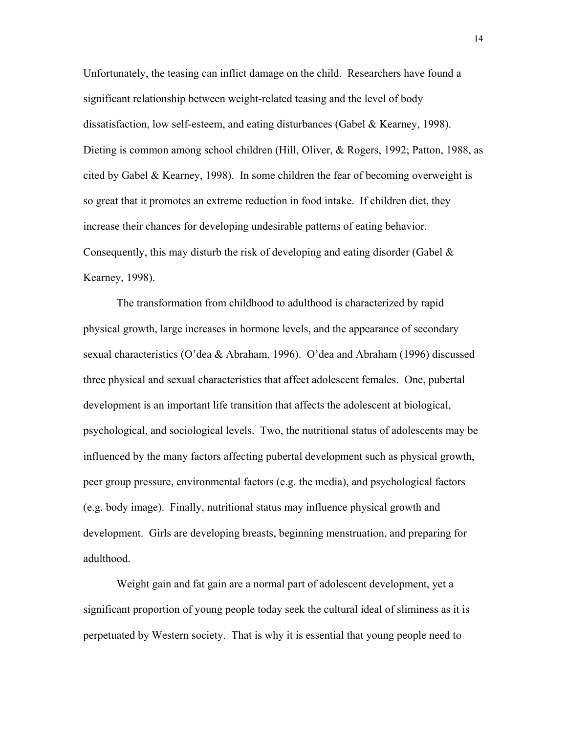Unfortunately, the teasing can inflict damage on the child. Researchers have found a significant relationship between weight-related teasing and the level of body dissatisfaction, low self-esteem, and eating disturbances (Gabel & Kearney, 1998). Dieting is common among school children (Hill, Oliver, & Rogers, 1992; Patton, 1988, as cited by Gabel & Kearney, 1998). In some children the fear of becoming overweight is so great that it promotes an extreme reduction in food intake. If children diet, they increase their chances for developing undesirable patterns of eating behavior. Consequently, this may disturb the risk of developing and eating disorder (Gabel  $\&$ Kearney, 1998).

 The transformation from childhood to adulthood is characterized by rapid physical growth, large increases in hormone levels, and the appearance of secondary sexual characteristics (O'dea & Abraham, 1996). O'dea and Abraham (1996) discussed three physical and sexual characteristics that affect adolescent females. One, pubertal development is an important life transition that affects the adolescent at biological, psychological, and sociological levels. Two, the nutritional status of adolescents may be influenced by the many factors affecting pubertal development such as physical growth, peer group pressure, environmental factors (e.g. the media), and psychological factors (e.g. body image). Finally, nutritional status may influence physical growth and development. Girls are developing breasts, beginning menstruation, and preparing for adulthood.

 Weight gain and fat gain are a normal part of adolescent development, yet a significant proportion of young people today seek the cultural ideal of sliminess as it is perpetuated by Western society. That is why it is essential that young people need to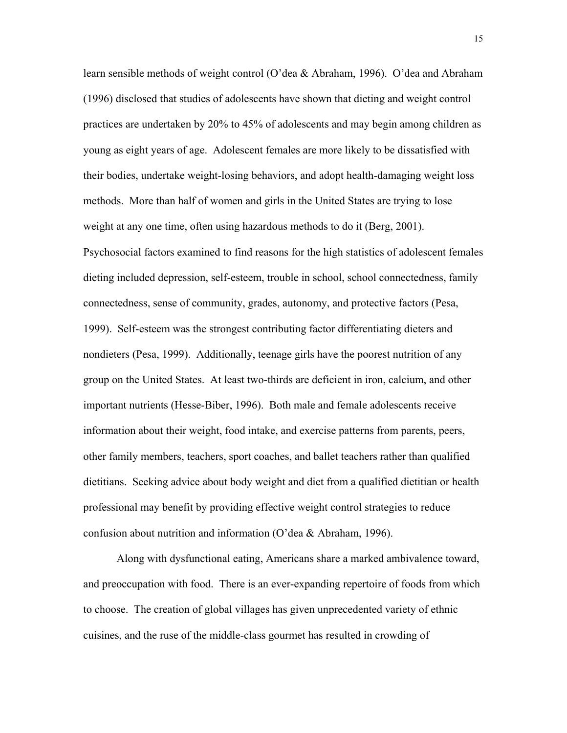learn sensible methods of weight control (O'dea & Abraham, 1996). O'dea and Abraham (1996) disclosed that studies of adolescents have shown that dieting and weight control practices are undertaken by 20% to 45% of adolescents and may begin among children as young as eight years of age. Adolescent females are more likely to be dissatisfied with their bodies, undertake weight-losing behaviors, and adopt health-damaging weight loss methods. More than half of women and girls in the United States are trying to lose weight at any one time, often using hazardous methods to do it (Berg, 2001). Psychosocial factors examined to find reasons for the high statistics of adolescent females dieting included depression, self-esteem, trouble in school, school connectedness, family connectedness, sense of community, grades, autonomy, and protective factors (Pesa, 1999). Self-esteem was the strongest contributing factor differentiating dieters and nondieters (Pesa, 1999). Additionally, teenage girls have the poorest nutrition of any group on the United States. At least two-thirds are deficient in iron, calcium, and other important nutrients (Hesse-Biber, 1996). Both male and female adolescents receive information about their weight, food intake, and exercise patterns from parents, peers, other family members, teachers, sport coaches, and ballet teachers rather than qualified dietitians. Seeking advice about body weight and diet from a qualified dietitian or health professional may benefit by providing effective weight control strategies to reduce confusion about nutrition and information (O'dea & Abraham, 1996).

 Along with dysfunctional eating, Americans share a marked ambivalence toward, and preoccupation with food. There is an ever-expanding repertoire of foods from which to choose. The creation of global villages has given unprecedented variety of ethnic cuisines, and the ruse of the middle-class gourmet has resulted in crowding of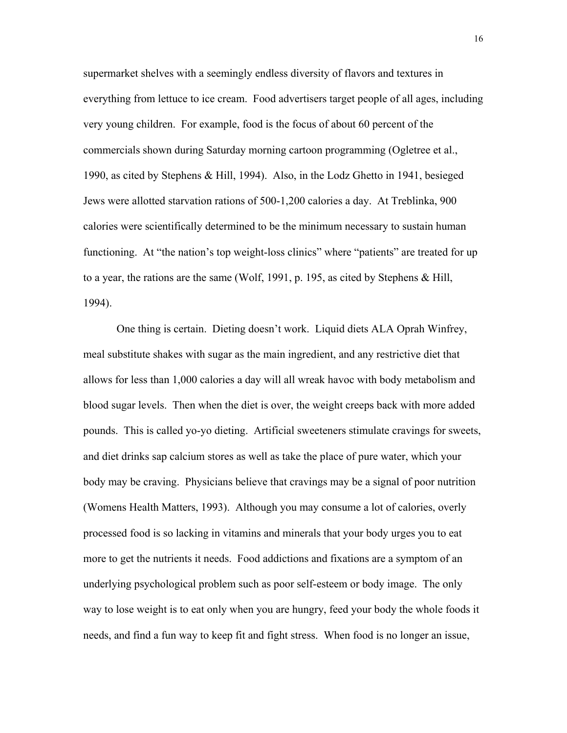supermarket shelves with a seemingly endless diversity of flavors and textures in everything from lettuce to ice cream. Food advertisers target people of all ages, including very young children. For example, food is the focus of about 60 percent of the commercials shown during Saturday morning cartoon programming (Ogletree et al., 1990, as cited by Stephens & Hill, 1994). Also, in the Lodz Ghetto in 1941, besieged Jews were allotted starvation rations of 500-1,200 calories a day. At Treblinka, 900 calories were scientifically determined to be the minimum necessary to sustain human functioning. At "the nation's top weight-loss clinics" where "patients" are treated for up to a year, the rations are the same (Wolf, 1991, p. 195, as cited by Stephens & Hill, 1994).

 One thing is certain. Dieting doesn't work. Liquid diets ALA Oprah Winfrey, meal substitute shakes with sugar as the main ingredient, and any restrictive diet that allows for less than 1,000 calories a day will all wreak havoc with body metabolism and blood sugar levels. Then when the diet is over, the weight creeps back with more added pounds. This is called yo-yo dieting. Artificial sweeteners stimulate cravings for sweets, and diet drinks sap calcium stores as well as take the place of pure water, which your body may be craving. Physicians believe that cravings may be a signal of poor nutrition (Womens Health Matters, 1993). Although you may consume a lot of calories, overly processed food is so lacking in vitamins and minerals that your body urges you to eat more to get the nutrients it needs. Food addictions and fixations are a symptom of an underlying psychological problem such as poor self-esteem or body image. The only way to lose weight is to eat only when you are hungry, feed your body the whole foods it needs, and find a fun way to keep fit and fight stress. When food is no longer an issue,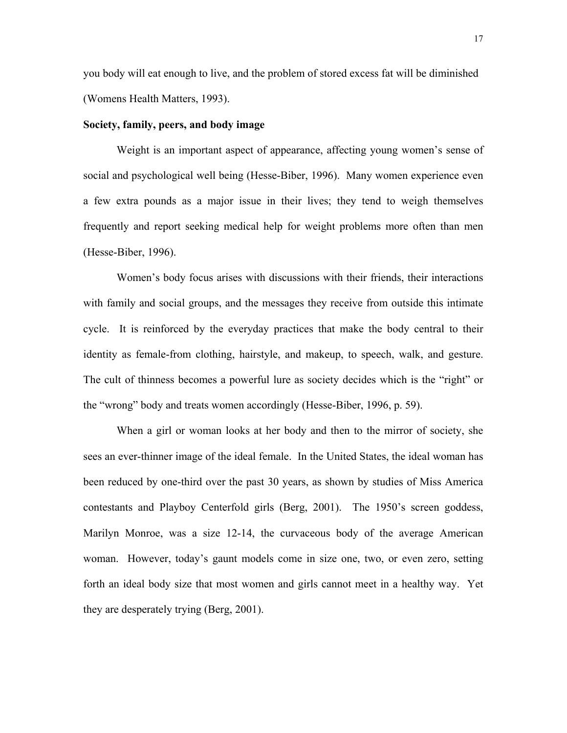you body will eat enough to live, and the problem of stored excess fat will be diminished (Womens Health Matters, 1993).

#### **Society, family, peers, and body image**

Weight is an important aspect of appearance, affecting young women's sense of social and psychological well being (Hesse-Biber, 1996). Many women experience even a few extra pounds as a major issue in their lives; they tend to weigh themselves frequently and report seeking medical help for weight problems more often than men (Hesse-Biber, 1996).

 Women's body focus arises with discussions with their friends, their interactions with family and social groups, and the messages they receive from outside this intimate cycle. It is reinforced by the everyday practices that make the body central to their identity as female-from clothing, hairstyle, and makeup, to speech, walk, and gesture. The cult of thinness becomes a powerful lure as society decides which is the "right" or the "wrong" body and treats women accordingly (Hesse-Biber, 1996, p. 59).

 When a girl or woman looks at her body and then to the mirror of society, she sees an ever-thinner image of the ideal female. In the United States, the ideal woman has been reduced by one-third over the past 30 years, as shown by studies of Miss America contestants and Playboy Centerfold girls (Berg, 2001). The 1950's screen goddess, Marilyn Monroe, was a size 12-14, the curvaceous body of the average American woman. However, today's gaunt models come in size one, two, or even zero, setting forth an ideal body size that most women and girls cannot meet in a healthy way. Yet they are desperately trying (Berg, 2001).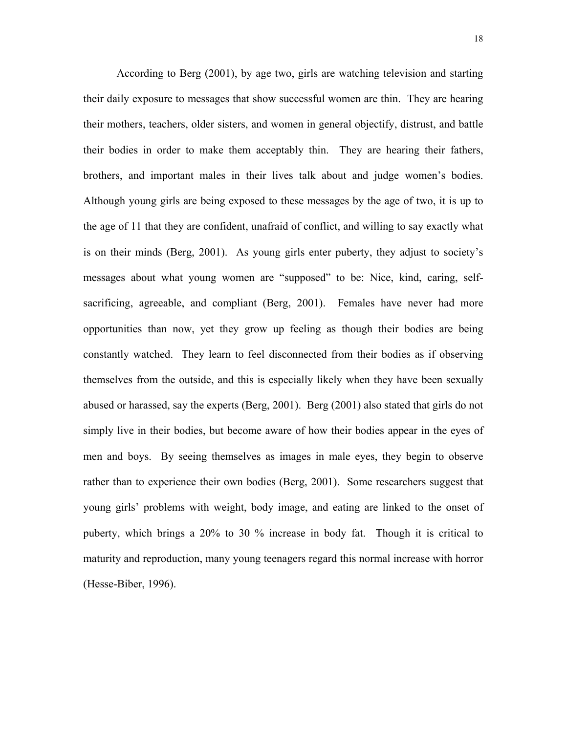According to Berg (2001), by age two, girls are watching television and starting their daily exposure to messages that show successful women are thin. They are hearing their mothers, teachers, older sisters, and women in general objectify, distrust, and battle their bodies in order to make them acceptably thin. They are hearing their fathers, brothers, and important males in their lives talk about and judge women's bodies. Although young girls are being exposed to these messages by the age of two, it is up to the age of 11 that they are confident, unafraid of conflict, and willing to say exactly what is on their minds (Berg, 2001). As young girls enter puberty, they adjust to society's messages about what young women are "supposed" to be: Nice, kind, caring, selfsacrificing, agreeable, and compliant (Berg, 2001). Females have never had more opportunities than now, yet they grow up feeling as though their bodies are being constantly watched. They learn to feel disconnected from their bodies as if observing themselves from the outside, and this is especially likely when they have been sexually abused or harassed, say the experts (Berg, 2001). Berg (2001) also stated that girls do not simply live in their bodies, but become aware of how their bodies appear in the eyes of men and boys. By seeing themselves as images in male eyes, they begin to observe rather than to experience their own bodies (Berg, 2001). Some researchers suggest that young girls' problems with weight, body image, and eating are linked to the onset of puberty, which brings a 20% to 30 % increase in body fat. Though it is critical to maturity and reproduction, many young teenagers regard this normal increase with horror (Hesse-Biber, 1996).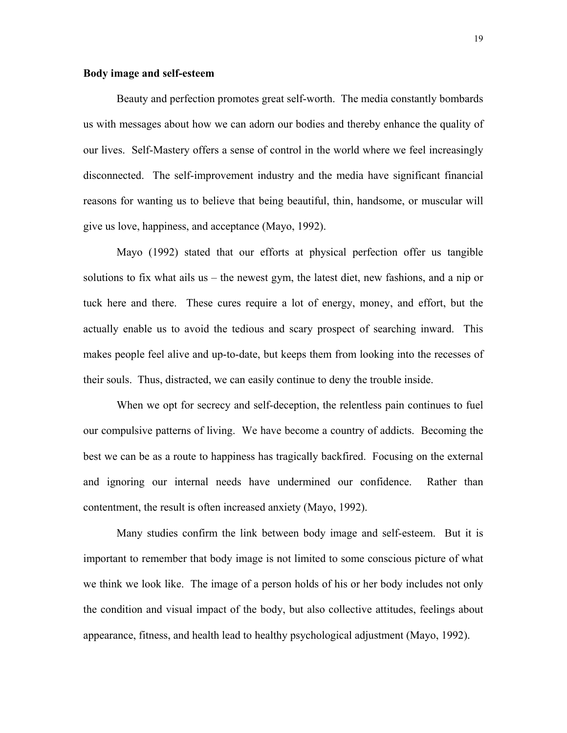## **Body image and self-esteem**

Beauty and perfection promotes great self-worth. The media constantly bombards us with messages about how we can adorn our bodies and thereby enhance the quality of our lives. Self-Mastery offers a sense of control in the world where we feel increasingly disconnected. The self-improvement industry and the media have significant financial reasons for wanting us to believe that being beautiful, thin, handsome, or muscular will give us love, happiness, and acceptance (Mayo, 1992).

 Mayo (1992) stated that our efforts at physical perfection offer us tangible solutions to fix what ails us – the newest gym, the latest diet, new fashions, and a nip or tuck here and there. These cures require a lot of energy, money, and effort, but the actually enable us to avoid the tedious and scary prospect of searching inward. This makes people feel alive and up-to-date, but keeps them from looking into the recesses of their souls. Thus, distracted, we can easily continue to deny the trouble inside.

 When we opt for secrecy and self-deception, the relentless pain continues to fuel our compulsive patterns of living. We have become a country of addicts. Becoming the best we can be as a route to happiness has tragically backfired. Focusing on the external and ignoring our internal needs have undermined our confidence. Rather than contentment, the result is often increased anxiety (Mayo, 1992).

 Many studies confirm the link between body image and self-esteem. But it is important to remember that body image is not limited to some conscious picture of what we think we look like. The image of a person holds of his or her body includes not only the condition and visual impact of the body, but also collective attitudes, feelings about appearance, fitness, and health lead to healthy psychological adjustment (Mayo, 1992).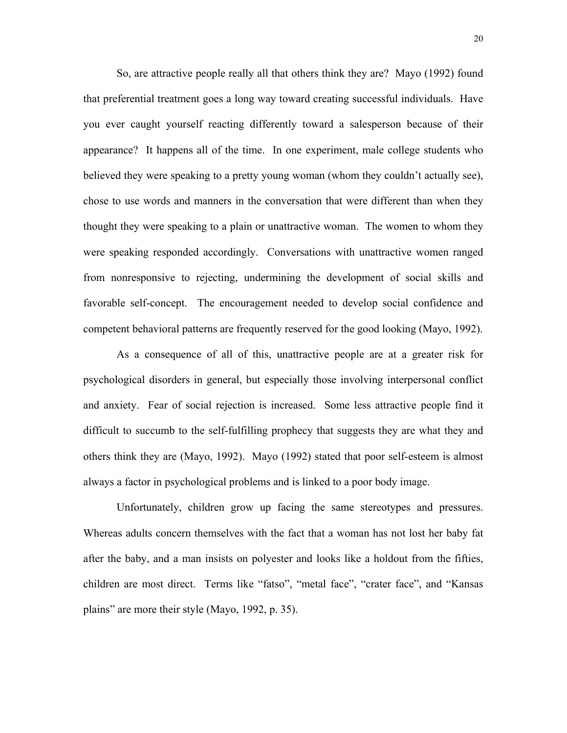So, are attractive people really all that others think they are? Mayo (1992) found that preferential treatment goes a long way toward creating successful individuals. Have you ever caught yourself reacting differently toward a salesperson because of their appearance? It happens all of the time. In one experiment, male college students who believed they were speaking to a pretty young woman (whom they couldn't actually see), chose to use words and manners in the conversation that were different than when they thought they were speaking to a plain or unattractive woman. The women to whom they were speaking responded accordingly. Conversations with unattractive women ranged from nonresponsive to rejecting, undermining the development of social skills and favorable self-concept. The encouragement needed to develop social confidence and competent behavioral patterns are frequently reserved for the good looking (Mayo, 1992).

 As a consequence of all of this, unattractive people are at a greater risk for psychological disorders in general, but especially those involving interpersonal conflict and anxiety. Fear of social rejection is increased. Some less attractive people find it difficult to succumb to the self-fulfilling prophecy that suggests they are what they and others think they are (Mayo, 1992). Mayo (1992) stated that poor self-esteem is almost always a factor in psychological problems and is linked to a poor body image.

 Unfortunately, children grow up facing the same stereotypes and pressures. Whereas adults concern themselves with the fact that a woman has not lost her baby fat after the baby, and a man insists on polyester and looks like a holdout from the fifties, children are most direct. Terms like "fatso", "metal face", "crater face", and "Kansas plains" are more their style (Mayo, 1992, p. 35).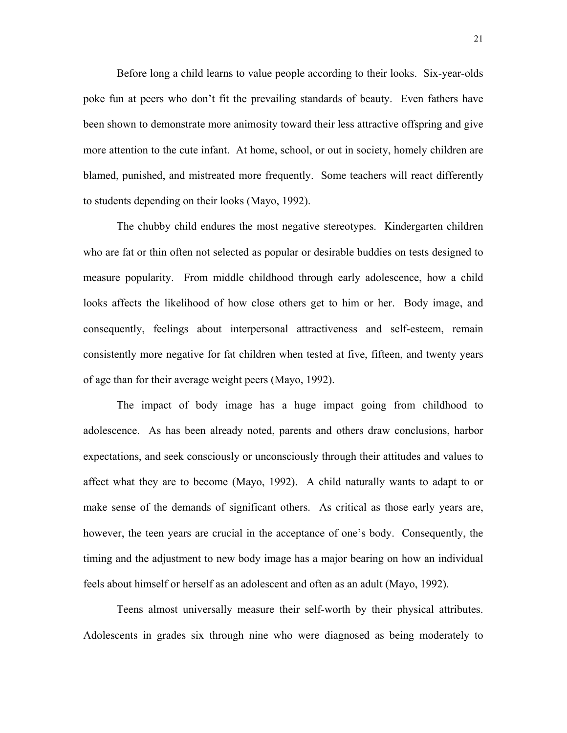Before long a child learns to value people according to their looks. Six-year-olds poke fun at peers who don't fit the prevailing standards of beauty. Even fathers have been shown to demonstrate more animosity toward their less attractive offspring and give more attention to the cute infant. At home, school, or out in society, homely children are blamed, punished, and mistreated more frequently. Some teachers will react differently to students depending on their looks (Mayo, 1992).

 The chubby child endures the most negative stereotypes. Kindergarten children who are fat or thin often not selected as popular or desirable buddies on tests designed to measure popularity. From middle childhood through early adolescence, how a child looks affects the likelihood of how close others get to him or her. Body image, and consequently, feelings about interpersonal attractiveness and self-esteem, remain consistently more negative for fat children when tested at five, fifteen, and twenty years of age than for their average weight peers (Mayo, 1992).

 The impact of body image has a huge impact going from childhood to adolescence. As has been already noted, parents and others draw conclusions, harbor expectations, and seek consciously or unconsciously through their attitudes and values to affect what they are to become (Mayo, 1992). A child naturally wants to adapt to or make sense of the demands of significant others. As critical as those early years are, however, the teen years are crucial in the acceptance of one's body. Consequently, the timing and the adjustment to new body image has a major bearing on how an individual feels about himself or herself as an adolescent and often as an adult (Mayo, 1992).

 Teens almost universally measure their self-worth by their physical attributes. Adolescents in grades six through nine who were diagnosed as being moderately to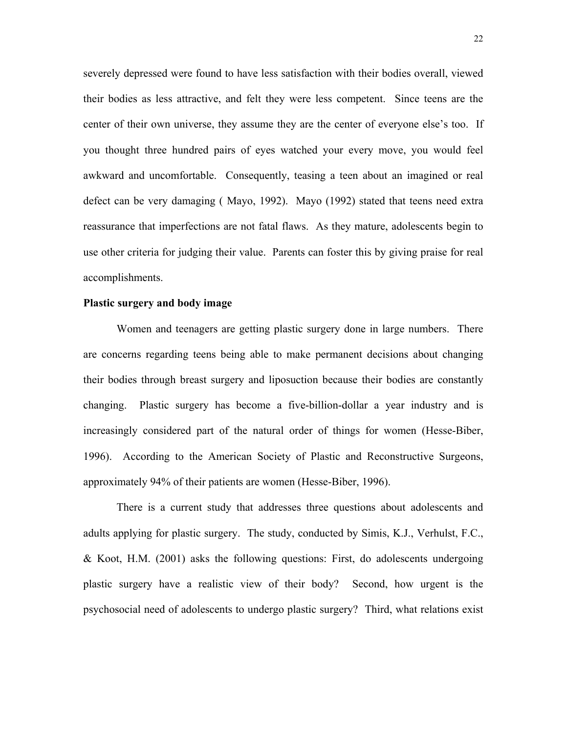severely depressed were found to have less satisfaction with their bodies overall, viewed their bodies as less attractive, and felt they were less competent. Since teens are the center of their own universe, they assume they are the center of everyone else's too. If you thought three hundred pairs of eyes watched your every move, you would feel awkward and uncomfortable. Consequently, teasing a teen about an imagined or real defect can be very damaging ( Mayo, 1992). Mayo (1992) stated that teens need extra reassurance that imperfections are not fatal flaws. As they mature, adolescents begin to use other criteria for judging their value. Parents can foster this by giving praise for real accomplishments.

## **Plastic surgery and body image**

Women and teenagers are getting plastic surgery done in large numbers. There are concerns regarding teens being able to make permanent decisions about changing their bodies through breast surgery and liposuction because their bodies are constantly changing. Plastic surgery has become a five-billion-dollar a year industry and is increasingly considered part of the natural order of things for women (Hesse-Biber, 1996). According to the American Society of Plastic and Reconstructive Surgeons, approximately 94% of their patients are women (Hesse-Biber, 1996).

 There is a current study that addresses three questions about adolescents and adults applying for plastic surgery. The study, conducted by Simis, K.J., Verhulst, F.C., & Koot, H.M. (2001) asks the following questions: First, do adolescents undergoing plastic surgery have a realistic view of their body? Second, how urgent is the psychosocial need of adolescents to undergo plastic surgery? Third, what relations exist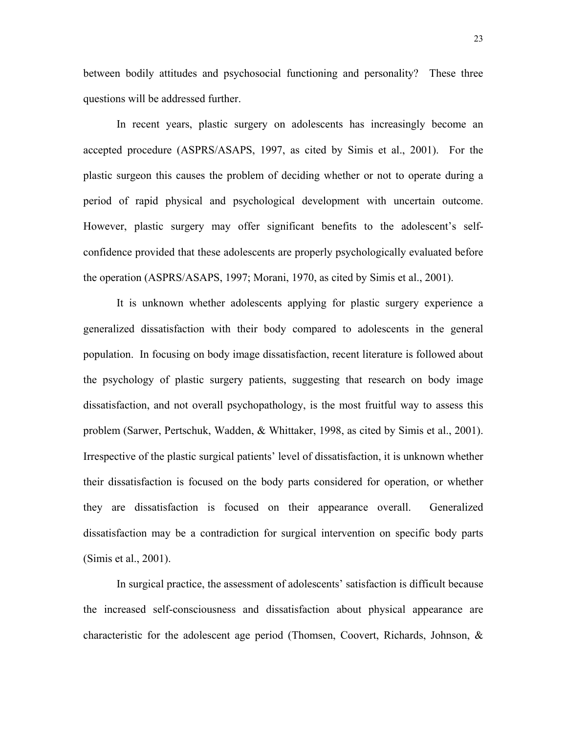between bodily attitudes and psychosocial functioning and personality? These three questions will be addressed further.

 In recent years, plastic surgery on adolescents has increasingly become an accepted procedure (ASPRS/ASAPS, 1997, as cited by Simis et al., 2001). For the plastic surgeon this causes the problem of deciding whether or not to operate during a period of rapid physical and psychological development with uncertain outcome. However, plastic surgery may offer significant benefits to the adolescent's selfconfidence provided that these adolescents are properly psychologically evaluated before the operation (ASPRS/ASAPS, 1997; Morani, 1970, as cited by Simis et al., 2001).

 It is unknown whether adolescents applying for plastic surgery experience a generalized dissatisfaction with their body compared to adolescents in the general population. In focusing on body image dissatisfaction, recent literature is followed about the psychology of plastic surgery patients, suggesting that research on body image dissatisfaction, and not overall psychopathology, is the most fruitful way to assess this problem (Sarwer, Pertschuk, Wadden, & Whittaker, 1998, as cited by Simis et al., 2001). Irrespective of the plastic surgical patients' level of dissatisfaction, it is unknown whether their dissatisfaction is focused on the body parts considered for operation, or whether they are dissatisfaction is focused on their appearance overall. Generalized dissatisfaction may be a contradiction for surgical intervention on specific body parts (Simis et al., 2001).

 In surgical practice, the assessment of adolescents' satisfaction is difficult because the increased self-consciousness and dissatisfaction about physical appearance are characteristic for the adolescent age period (Thomsen, Coovert, Richards, Johnson, &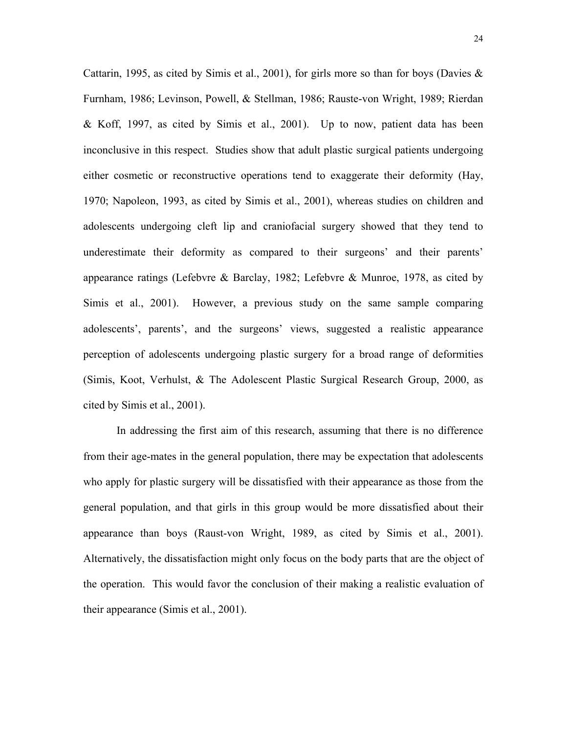Cattarin, 1995, as cited by Simis et al., 2001), for girls more so than for boys (Davies  $\&$ Furnham, 1986; Levinson, Powell, & Stellman, 1986; Rauste-von Wright, 1989; Rierdan & Koff, 1997, as cited by Simis et al., 2001). Up to now, patient data has been inconclusive in this respect. Studies show that adult plastic surgical patients undergoing either cosmetic or reconstructive operations tend to exaggerate their deformity (Hay, 1970; Napoleon, 1993, as cited by Simis et al., 2001), whereas studies on children and adolescents undergoing cleft lip and craniofacial surgery showed that they tend to underestimate their deformity as compared to their surgeons' and their parents' appearance ratings (Lefebvre & Barclay, 1982; Lefebvre & Munroe, 1978, as cited by Simis et al., 2001). However, a previous study on the same sample comparing adolescents', parents', and the surgeons' views, suggested a realistic appearance perception of adolescents undergoing plastic surgery for a broad range of deformities (Simis, Koot, Verhulst, & The Adolescent Plastic Surgical Research Group, 2000, as cited by Simis et al., 2001).

 In addressing the first aim of this research, assuming that there is no difference from their age-mates in the general population, there may be expectation that adolescents who apply for plastic surgery will be dissatisfied with their appearance as those from the general population, and that girls in this group would be more dissatisfied about their appearance than boys (Raust-von Wright, 1989, as cited by Simis et al., 2001). Alternatively, the dissatisfaction might only focus on the body parts that are the object of the operation. This would favor the conclusion of their making a realistic evaluation of their appearance (Simis et al., 2001).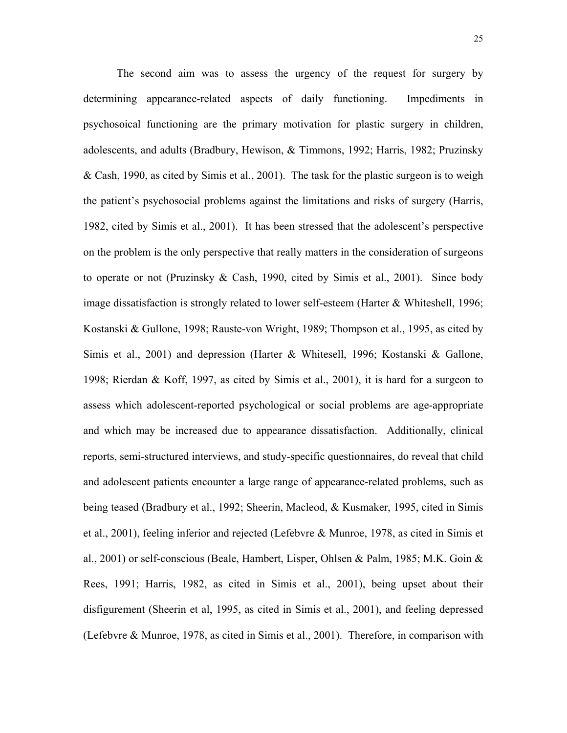The second aim was to assess the urgency of the request for surgery by determining appearance-related aspects of daily functioning. Impediments in psychosoical functioning are the primary motivation for plastic surgery in children, adolescents, and adults (Bradbury, Hewison, & Timmons, 1992; Harris, 1982; Pruzinsky & Cash, 1990, as cited by Simis et al., 2001). The task for the plastic surgeon is to weigh the patient's psychosocial problems against the limitations and risks of surgery (Harris, 1982, cited by Simis et al., 2001). It has been stressed that the adolescent's perspective on the problem is the only perspective that really matters in the consideration of surgeons to operate or not (Pruzinsky & Cash, 1990, cited by Simis et al., 2001). Since body image dissatisfaction is strongly related to lower self-esteem (Harter & Whiteshell, 1996; Kostanski & Gullone, 1998; Rauste-von Wright, 1989; Thompson et al., 1995, as cited by Simis et al., 2001) and depression (Harter & Whitesell, 1996; Kostanski & Gallone, 1998; Rierdan & Koff, 1997, as cited by Simis et al., 2001), it is hard for a surgeon to assess which adolescent-reported psychological or social problems are age-appropriate and which may be increased due to appearance dissatisfaction. Additionally, clinical reports, semi-structured interviews, and study-specific questionnaires, do reveal that child and adolescent patients encounter a large range of appearance-related problems, such as being teased (Bradbury et al., 1992; Sheerin, Macleod, & Kusmaker, 1995, cited in Simis et al., 2001), feeling inferior and rejected (Lefebvre & Munroe, 1978, as cited in Simis et al., 2001) or self-conscious (Beale, Hambert, Lisper, Ohlsen & Palm, 1985; M.K. Goin & Rees, 1991; Harris, 1982, as cited in Simis et al., 2001), being upset about their disfigurement (Sheerin et al, 1995, as cited in Simis et al., 2001), and feeling depressed (Lefebvre & Munroe, 1978, as cited in Simis et al., 2001). Therefore, in comparison with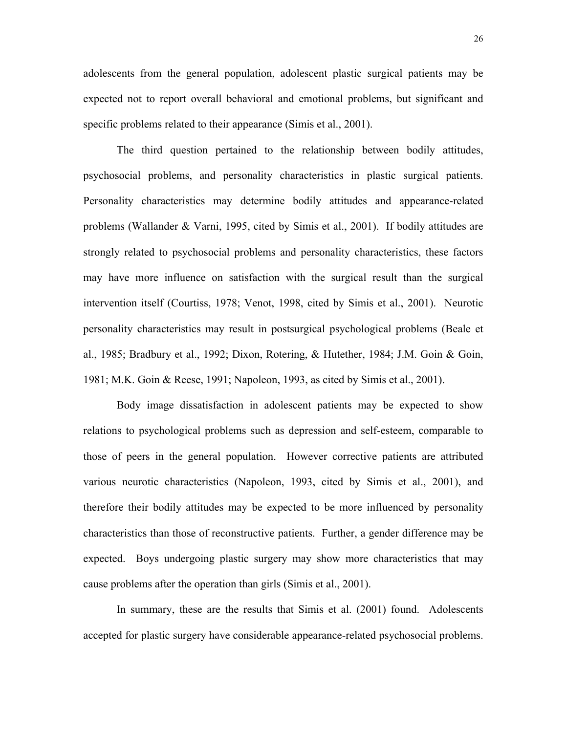adolescents from the general population, adolescent plastic surgical patients may be expected not to report overall behavioral and emotional problems, but significant and specific problems related to their appearance (Simis et al., 2001).

 The third question pertained to the relationship between bodily attitudes, psychosocial problems, and personality characteristics in plastic surgical patients. Personality characteristics may determine bodily attitudes and appearance-related problems (Wallander & Varni, 1995, cited by Simis et al., 2001). If bodily attitudes are strongly related to psychosocial problems and personality characteristics, these factors may have more influence on satisfaction with the surgical result than the surgical intervention itself (Courtiss, 1978; Venot, 1998, cited by Simis et al., 2001). Neurotic personality characteristics may result in postsurgical psychological problems (Beale et al., 1985; Bradbury et al., 1992; Dixon, Rotering, & Hutether, 1984; J.M. Goin & Goin, 1981; M.K. Goin & Reese, 1991; Napoleon, 1993, as cited by Simis et al., 2001).

 Body image dissatisfaction in adolescent patients may be expected to show relations to psychological problems such as depression and self-esteem, comparable to those of peers in the general population. However corrective patients are attributed various neurotic characteristics (Napoleon, 1993, cited by Simis et al., 2001), and therefore their bodily attitudes may be expected to be more influenced by personality characteristics than those of reconstructive patients. Further, a gender difference may be expected. Boys undergoing plastic surgery may show more characteristics that may cause problems after the operation than girls (Simis et al., 2001).

 In summary, these are the results that Simis et al. (2001) found. Adolescents accepted for plastic surgery have considerable appearance-related psychosocial problems.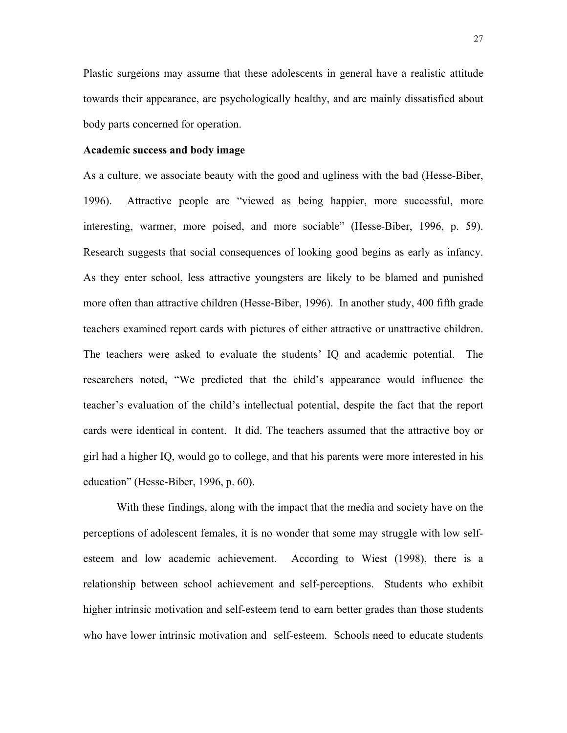Plastic surgeions may assume that these adolescents in general have a realistic attitude towards their appearance, are psychologically healthy, and are mainly dissatisfied about body parts concerned for operation.

## **Academic success and body image**

As a culture, we associate beauty with the good and ugliness with the bad (Hesse-Biber, 1996). Attractive people are "viewed as being happier, more successful, more interesting, warmer, more poised, and more sociable" (Hesse-Biber, 1996, p. 59). Research suggests that social consequences of looking good begins as early as infancy. As they enter school, less attractive youngsters are likely to be blamed and punished more often than attractive children (Hesse-Biber, 1996). In another study, 400 fifth grade teachers examined report cards with pictures of either attractive or unattractive children. The teachers were asked to evaluate the students' IQ and academic potential. The researchers noted, "We predicted that the child's appearance would influence the teacher's evaluation of the child's intellectual potential, despite the fact that the report cards were identical in content. It did. The teachers assumed that the attractive boy or girl had a higher IQ, would go to college, and that his parents were more interested in his education" (Hesse-Biber, 1996, p. 60).

 With these findings, along with the impact that the media and society have on the perceptions of adolescent females, it is no wonder that some may struggle with low selfesteem and low academic achievement. According to Wiest (1998), there is a relationship between school achievement and self-perceptions. Students who exhibit higher intrinsic motivation and self-esteem tend to earn better grades than those students who have lower intrinsic motivation and self-esteem. Schools need to educate students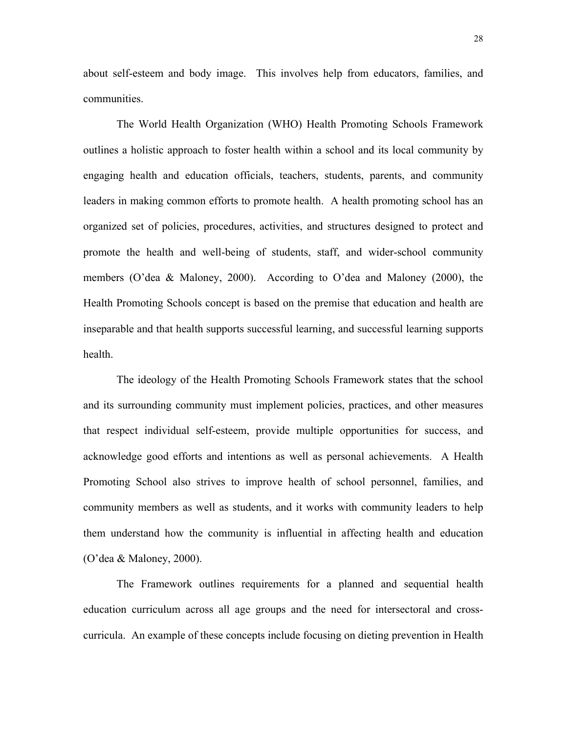about self-esteem and body image. This involves help from educators, families, and communities.

 The World Health Organization (WHO) Health Promoting Schools Framework outlines a holistic approach to foster health within a school and its local community by engaging health and education officials, teachers, students, parents, and community leaders in making common efforts to promote health. A health promoting school has an organized set of policies, procedures, activities, and structures designed to protect and promote the health and well-being of students, staff, and wider-school community members (O'dea & Maloney, 2000). According to O'dea and Maloney (2000), the Health Promoting Schools concept is based on the premise that education and health are inseparable and that health supports successful learning, and successful learning supports health.

 The ideology of the Health Promoting Schools Framework states that the school and its surrounding community must implement policies, practices, and other measures that respect individual self-esteem, provide multiple opportunities for success, and acknowledge good efforts and intentions as well as personal achievements. A Health Promoting School also strives to improve health of school personnel, families, and community members as well as students, and it works with community leaders to help them understand how the community is influential in affecting health and education (O'dea & Maloney, 2000).

 The Framework outlines requirements for a planned and sequential health education curriculum across all age groups and the need for intersectoral and crosscurricula. An example of these concepts include focusing on dieting prevention in Health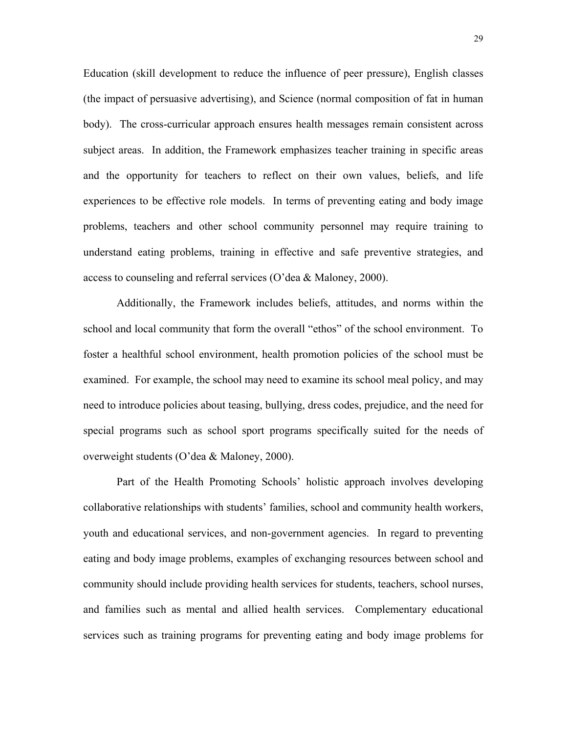Education (skill development to reduce the influence of peer pressure), English classes (the impact of persuasive advertising), and Science (normal composition of fat in human body). The cross-curricular approach ensures health messages remain consistent across subject areas. In addition, the Framework emphasizes teacher training in specific areas and the opportunity for teachers to reflect on their own values, beliefs, and life experiences to be effective role models. In terms of preventing eating and body image problems, teachers and other school community personnel may require training to understand eating problems, training in effective and safe preventive strategies, and access to counseling and referral services (O'dea & Maloney, 2000).

 Additionally, the Framework includes beliefs, attitudes, and norms within the school and local community that form the overall "ethos" of the school environment. To foster a healthful school environment, health promotion policies of the school must be examined. For example, the school may need to examine its school meal policy, and may need to introduce policies about teasing, bullying, dress codes, prejudice, and the need for special programs such as school sport programs specifically suited for the needs of overweight students (O'dea & Maloney, 2000).

 Part of the Health Promoting Schools' holistic approach involves developing collaborative relationships with students' families, school and community health workers, youth and educational services, and non-government agencies. In regard to preventing eating and body image problems, examples of exchanging resources between school and community should include providing health services for students, teachers, school nurses, and families such as mental and allied health services. Complementary educational services such as training programs for preventing eating and body image problems for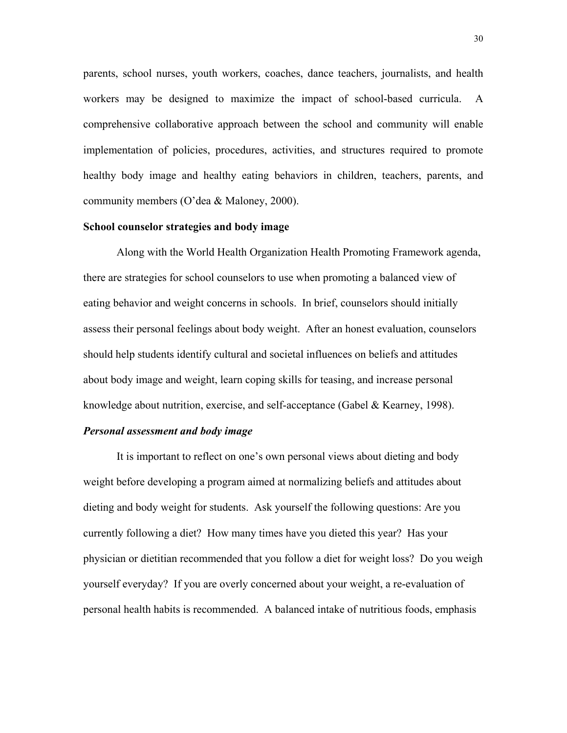parents, school nurses, youth workers, coaches, dance teachers, journalists, and health workers may be designed to maximize the impact of school-based curricula. A comprehensive collaborative approach between the school and community will enable implementation of policies, procedures, activities, and structures required to promote healthy body image and healthy eating behaviors in children, teachers, parents, and community members (O'dea & Maloney, 2000).

## **School counselor strategies and body image**

Along with the World Health Organization Health Promoting Framework agenda, there are strategies for school counselors to use when promoting a balanced view of eating behavior and weight concerns in schools. In brief, counselors should initially assess their personal feelings about body weight. After an honest evaluation, counselors should help students identify cultural and societal influences on beliefs and attitudes about body image and weight, learn coping skills for teasing, and increase personal knowledge about nutrition, exercise, and self-acceptance (Gabel & Kearney, 1998).

#### *Personal assessment and body image*

It is important to reflect on one's own personal views about dieting and body weight before developing a program aimed at normalizing beliefs and attitudes about dieting and body weight for students. Ask yourself the following questions: Are you currently following a diet? How many times have you dieted this year? Has your physician or dietitian recommended that you follow a diet for weight loss? Do you weigh yourself everyday? If you are overly concerned about your weight, a re-evaluation of personal health habits is recommended. A balanced intake of nutritious foods, emphasis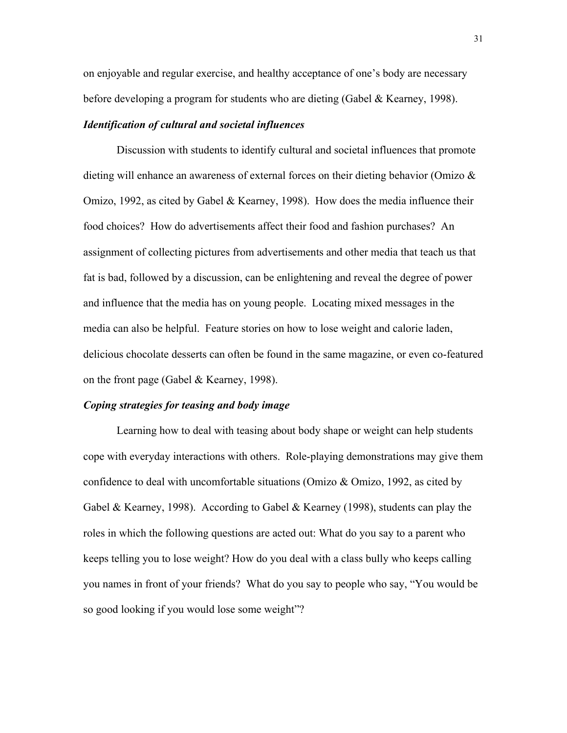on enjoyable and regular exercise, and healthy acceptance of one's body are necessary before developing a program for students who are dieting (Gabel & Kearney, 1998).

## *Identification of cultural and societal influences*

Discussion with students to identify cultural and societal influences that promote dieting will enhance an awareness of external forces on their dieting behavior (Omizo & Omizo, 1992, as cited by Gabel & Kearney, 1998). How does the media influence their food choices? How do advertisements affect their food and fashion purchases? An assignment of collecting pictures from advertisements and other media that teach us that fat is bad, followed by a discussion, can be enlightening and reveal the degree of power and influence that the media has on young people. Locating mixed messages in the media can also be helpful. Feature stories on how to lose weight and calorie laden, delicious chocolate desserts can often be found in the same magazine, or even co-featured on the front page (Gabel & Kearney, 1998).

#### *Coping strategies for teasing and body image*

Learning how to deal with teasing about body shape or weight can help students cope with everyday interactions with others. Role-playing demonstrations may give them confidence to deal with uncomfortable situations (Omizo & Omizo, 1992, as cited by Gabel & Kearney, 1998). According to Gabel & Kearney (1998), students can play the roles in which the following questions are acted out: What do you say to a parent who keeps telling you to lose weight? How do you deal with a class bully who keeps calling you names in front of your friends? What do you say to people who say, "You would be so good looking if you would lose some weight"?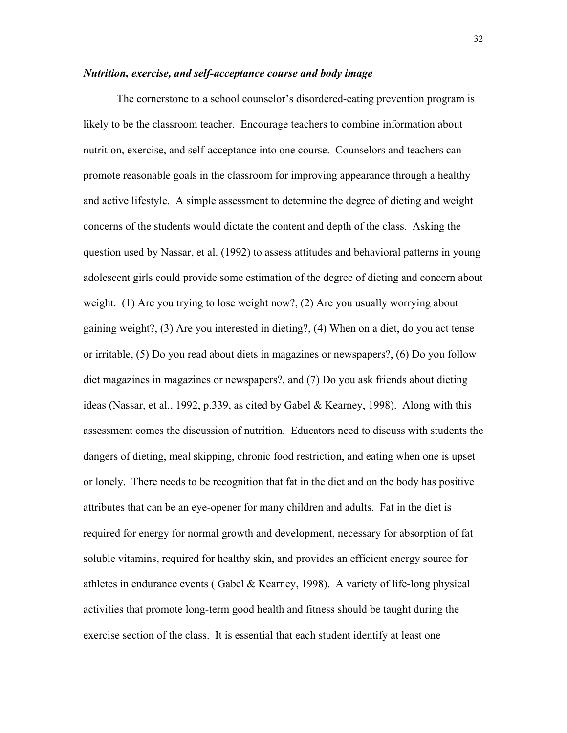## *Nutrition, exercise, and self-acceptance course and body image*

The cornerstone to a school counselor's disordered-eating prevention program is likely to be the classroom teacher. Encourage teachers to combine information about nutrition, exercise, and self-acceptance into one course. Counselors and teachers can promote reasonable goals in the classroom for improving appearance through a healthy and active lifestyle. A simple assessment to determine the degree of dieting and weight concerns of the students would dictate the content and depth of the class. Asking the question used by Nassar, et al. (1992) to assess attitudes and behavioral patterns in young adolescent girls could provide some estimation of the degree of dieting and concern about weight. (1) Are you trying to lose weight now?, (2) Are you usually worrying about gaining weight?, (3) Are you interested in dieting?, (4) When on a diet, do you act tense or irritable, (5) Do you read about diets in magazines or newspapers?, (6) Do you follow diet magazines in magazines or newspapers?, and (7) Do you ask friends about dieting ideas (Nassar, et al., 1992, p.339, as cited by Gabel & Kearney, 1998). Along with this assessment comes the discussion of nutrition. Educators need to discuss with students the dangers of dieting, meal skipping, chronic food restriction, and eating when one is upset or lonely. There needs to be recognition that fat in the diet and on the body has positive attributes that can be an eye-opener for many children and adults. Fat in the diet is required for energy for normal growth and development, necessary for absorption of fat soluble vitamins, required for healthy skin, and provides an efficient energy source for athletes in endurance events (Gabel & Kearney, 1998). A variety of life-long physical activities that promote long-term good health and fitness should be taught during the exercise section of the class. It is essential that each student identify at least one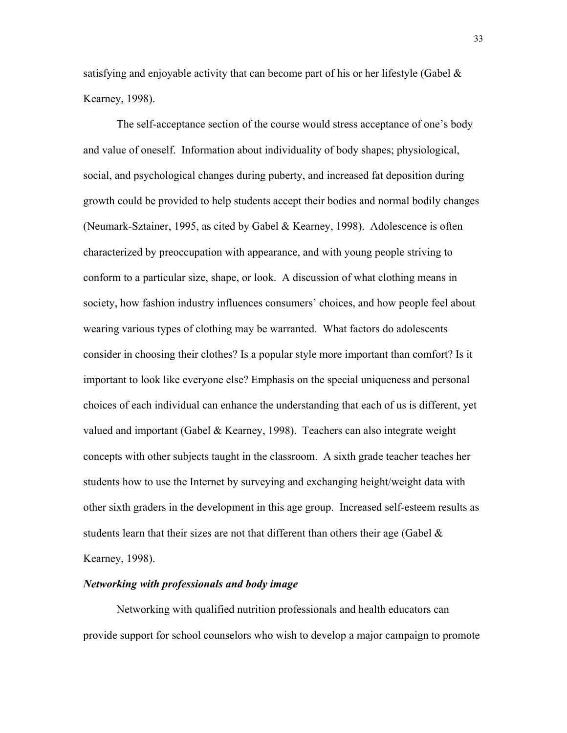satisfying and enjoyable activity that can become part of his or her lifestyle (Gabel  $\&$ Kearney, 1998).

 The self-acceptance section of the course would stress acceptance of one's body and value of oneself. Information about individuality of body shapes; physiological, social, and psychological changes during puberty, and increased fat deposition during growth could be provided to help students accept their bodies and normal bodily changes (Neumark-Sztainer, 1995, as cited by Gabel & Kearney, 1998). Adolescence is often characterized by preoccupation with appearance, and with young people striving to conform to a particular size, shape, or look. A discussion of what clothing means in society, how fashion industry influences consumers' choices, and how people feel about wearing various types of clothing may be warranted. What factors do adolescents consider in choosing their clothes? Is a popular style more important than comfort? Is it important to look like everyone else? Emphasis on the special uniqueness and personal choices of each individual can enhance the understanding that each of us is different, yet valued and important (Gabel & Kearney, 1998). Teachers can also integrate weight concepts with other subjects taught in the classroom. A sixth grade teacher teaches her students how to use the Internet by surveying and exchanging height/weight data with other sixth graders in the development in this age group. Increased self-esteem results as students learn that their sizes are not that different than others their age (Gabel  $\&$ Kearney, 1998).

## *Networking with professionals and body image*

Networking with qualified nutrition professionals and health educators can provide support for school counselors who wish to develop a major campaign to promote

33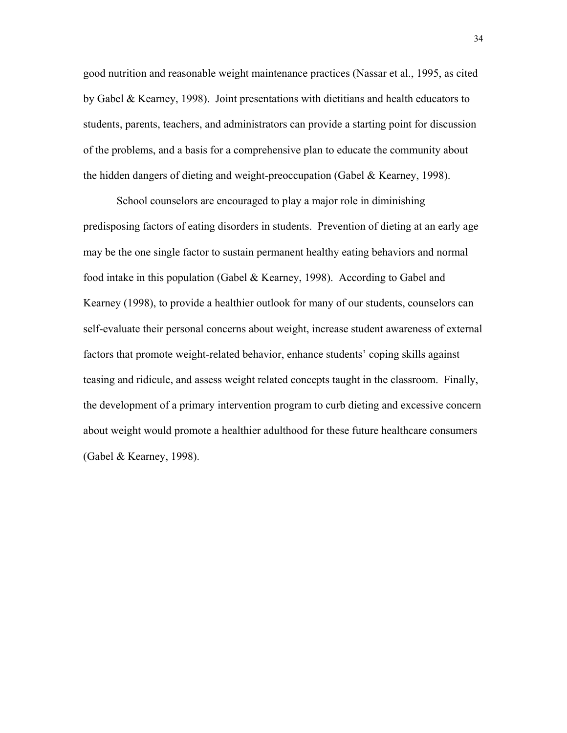good nutrition and reasonable weight maintenance practices (Nassar et al., 1995, as cited by Gabel & Kearney, 1998). Joint presentations with dietitians and health educators to students, parents, teachers, and administrators can provide a starting point for discussion of the problems, and a basis for a comprehensive plan to educate the community about the hidden dangers of dieting and weight-preoccupation (Gabel & Kearney, 1998).

 School counselors are encouraged to play a major role in diminishing predisposing factors of eating disorders in students. Prevention of dieting at an early age may be the one single factor to sustain permanent healthy eating behaviors and normal food intake in this population (Gabel & Kearney, 1998). According to Gabel and Kearney (1998), to provide a healthier outlook for many of our students, counselors can self-evaluate their personal concerns about weight, increase student awareness of external factors that promote weight-related behavior, enhance students' coping skills against teasing and ridicule, and assess weight related concepts taught in the classroom. Finally, the development of a primary intervention program to curb dieting and excessive concern about weight would promote a healthier adulthood for these future healthcare consumers (Gabel & Kearney, 1998).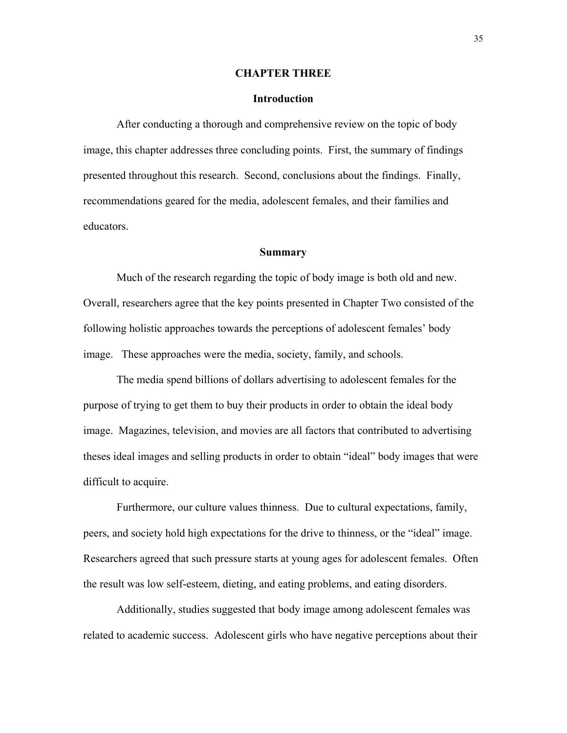#### **CHAPTER THREE**

#### **Introduction**

After conducting a thorough and comprehensive review on the topic of body image, this chapter addresses three concluding points. First, the summary of findings presented throughout this research. Second, conclusions about the findings. Finally, recommendations geared for the media, adolescent females, and their families and educators.

#### **Summary**

 Much of the research regarding the topic of body image is both old and new. Overall, researchers agree that the key points presented in Chapter Two consisted of the following holistic approaches towards the perceptions of adolescent females' body image. These approaches were the media, society, family, and schools.

 The media spend billions of dollars advertising to adolescent females for the purpose of trying to get them to buy their products in order to obtain the ideal body image. Magazines, television, and movies are all factors that contributed to advertising theses ideal images and selling products in order to obtain "ideal" body images that were difficult to acquire.

 Furthermore, our culture values thinness. Due to cultural expectations, family, peers, and society hold high expectations for the drive to thinness, or the "ideal" image. Researchers agreed that such pressure starts at young ages for adolescent females. Often the result was low self-esteem, dieting, and eating problems, and eating disorders.

 Additionally, studies suggested that body image among adolescent females was related to academic success. Adolescent girls who have negative perceptions about their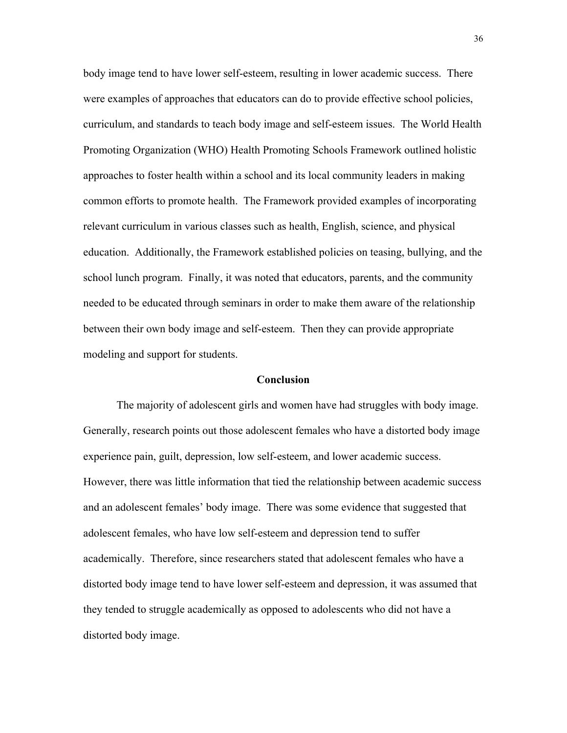body image tend to have lower self-esteem, resulting in lower academic success. There were examples of approaches that educators can do to provide effective school policies, curriculum, and standards to teach body image and self-esteem issues. The World Health Promoting Organization (WHO) Health Promoting Schools Framework outlined holistic approaches to foster health within a school and its local community leaders in making common efforts to promote health. The Framework provided examples of incorporating relevant curriculum in various classes such as health, English, science, and physical education. Additionally, the Framework established policies on teasing, bullying, and the school lunch program. Finally, it was noted that educators, parents, and the community needed to be educated through seminars in order to make them aware of the relationship between their own body image and self-esteem. Then they can provide appropriate modeling and support for students.

#### **Conclusion**

 The majority of adolescent girls and women have had struggles with body image. Generally, research points out those adolescent females who have a distorted body image experience pain, guilt, depression, low self-esteem, and lower academic success. However, there was little information that tied the relationship between academic success and an adolescent females' body image. There was some evidence that suggested that adolescent females, who have low self-esteem and depression tend to suffer academically. Therefore, since researchers stated that adolescent females who have a distorted body image tend to have lower self-esteem and depression, it was assumed that they tended to struggle academically as opposed to adolescents who did not have a distorted body image.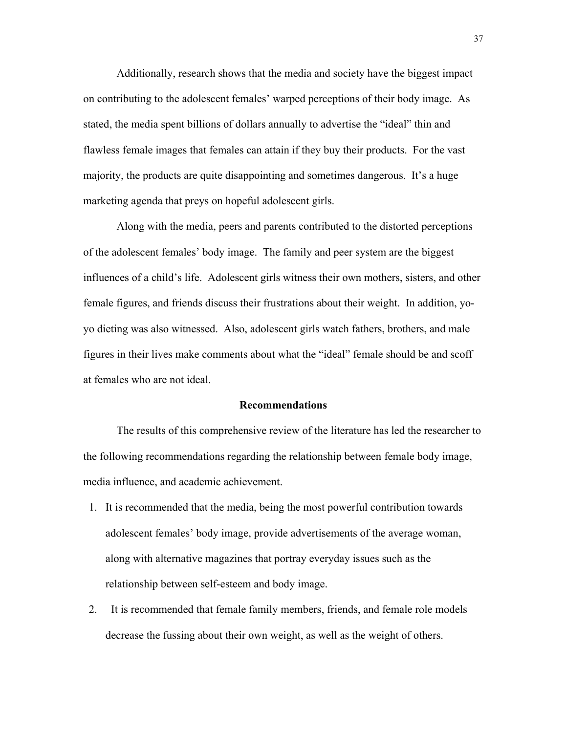Additionally, research shows that the media and society have the biggest impact on contributing to the adolescent females' warped perceptions of their body image. As stated, the media spent billions of dollars annually to advertise the "ideal" thin and flawless female images that females can attain if they buy their products. For the vast majority, the products are quite disappointing and sometimes dangerous. It's a huge marketing agenda that preys on hopeful adolescent girls.

 Along with the media, peers and parents contributed to the distorted perceptions of the adolescent females' body image. The family and peer system are the biggest influences of a child's life. Adolescent girls witness their own mothers, sisters, and other female figures, and friends discuss their frustrations about their weight. In addition, yoyo dieting was also witnessed. Also, adolescent girls watch fathers, brothers, and male figures in their lives make comments about what the "ideal" female should be and scoff at females who are not ideal.

#### **Recommendations**

 The results of this comprehensive review of the literature has led the researcher to the following recommendations regarding the relationship between female body image, media influence, and academic achievement.

- 1. It is recommended that the media, being the most powerful contribution towards adolescent females' body image, provide advertisements of the average woman, along with alternative magazines that portray everyday issues such as the relationship between self-esteem and body image.
- 2. It is recommended that female family members, friends, and female role models decrease the fussing about their own weight, as well as the weight of others.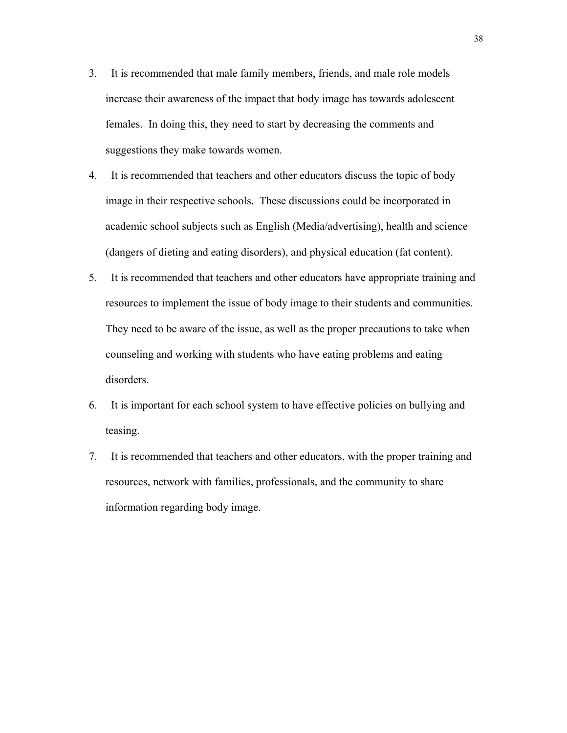- 3. It is recommended that male family members, friends, and male role models increase their awareness of the impact that body image has towards adolescent females. In doing this, they need to start by decreasing the comments and suggestions they make towards women.
- 4. It is recommended that teachers and other educators discuss the topic of body image in their respective schools. These discussions could be incorporated in academic school subjects such as English (Media/advertising), health and science (dangers of dieting and eating disorders), and physical education (fat content).
- 5. It is recommended that teachers and other educators have appropriate training and resources to implement the issue of body image to their students and communities. They need to be aware of the issue, as well as the proper precautions to take when counseling and working with students who have eating problems and eating disorders.
- 6. It is important for each school system to have effective policies on bullying and teasing.
- 7. It is recommended that teachers and other educators, with the proper training and resources, network with families, professionals, and the community to share information regarding body image.

38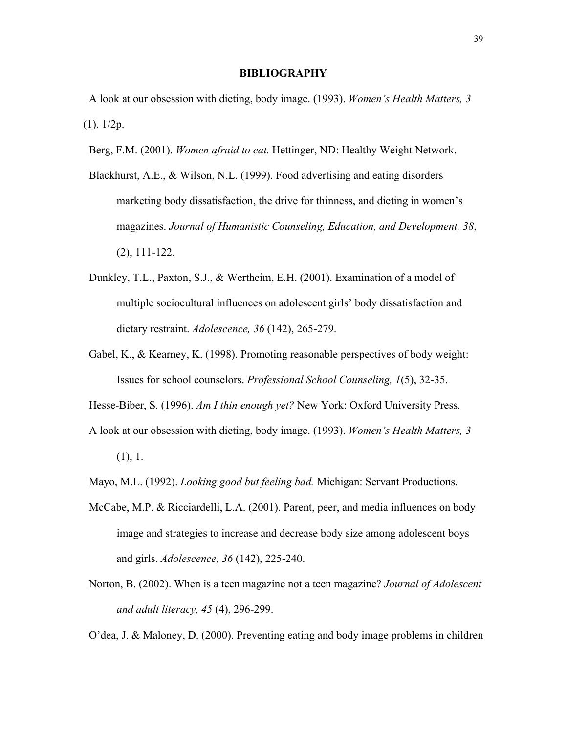#### **BIBLIOGRAPHY**

 A look at our obsession with dieting, body image. (1993). *Women's Health Matters, 3*  $(1)$ .  $1/2p$ .

- Berg, F.M. (2001). *Women afraid to eat.* Hettinger, ND: Healthy Weight Network.
- Blackhurst, A.E., & Wilson, N.L. (1999). Food advertising and eating disorders marketing body dissatisfaction, the drive for thinness, and dieting in women's magazines. *Journal of Humanistic Counseling, Education, and Development, 38*, (2), 111-122.
- Dunkley, T.L., Paxton, S.J., & Wertheim, E.H. (2001). Examination of a model of multiple sociocultural influences on adolescent girls' body dissatisfaction and dietary restraint. *Adolescence, 36* (142), 265-279.
- Gabel, K., & Kearney, K. (1998). Promoting reasonable perspectives of body weight: Issues for school counselors. *Professional School Counseling, 1*(5), 32-35.
- Hesse-Biber, S. (1996). *Am I thin enough yet?* New York: Oxford University Press.
- A look at our obsession with dieting, body image. (1993). *Women's Health Matters, 3*
	- (1), 1.
- Mayo, M.L. (1992). *Looking good but feeling bad.* Michigan: Servant Productions.
- McCabe, M.P. & Ricciardelli, L.A. (2001). Parent, peer, and media influences on body image and strategies to increase and decrease body size among adolescent boys and girls. *Adolescence, 36* (142), 225-240.
- Norton, B. (2002). When is a teen magazine not a teen magazine? *Journal of Adolescent and adult literacy, 45* (4), 296-299.

O'dea, J. & Maloney, D. (2000). Preventing eating and body image problems in children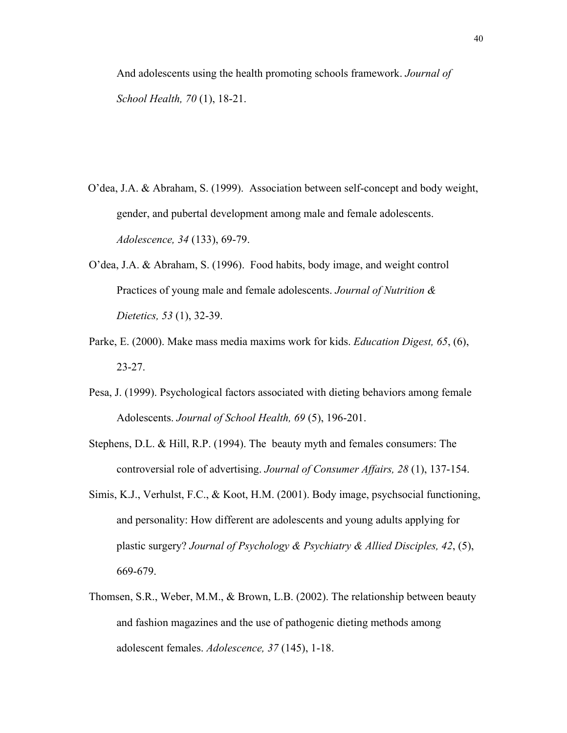And adolescents using the health promoting schools framework. *Journal of School Health, 70* (1), 18-21.

- O'dea, J.A. & Abraham, S. (1999). Association between self-concept and body weight, gender, and pubertal development among male and female adolescents. *Adolescence, 34* (133), 69-79.
- O'dea, J.A. & Abraham, S. (1996). Food habits, body image, and weight control Practices of young male and female adolescents. *Journal of Nutrition & Dietetics, 53* (1), 32-39.
- Parke, E. (2000). Make mass media maxims work for kids. *Education Digest, 65*, (6), 23-27.
- Pesa, J. (1999). Psychological factors associated with dieting behaviors among female Adolescents. *Journal of School Health, 69* (5), 196-201.
- Stephens, D.L. & Hill, R.P. (1994). The beauty myth and females consumers: The controversial role of advertising. *Journal of Consumer Affairs, 28* (1), 137-154.
- Simis, K.J., Verhulst, F.C., & Koot, H.M. (2001). Body image, psychsocial functioning, and personality: How different are adolescents and young adults applying for plastic surgery? *Journal of Psychology & Psychiatry & Allied Disciples, 42*, (5), 669-679.
- Thomsen, S.R., Weber, M.M., & Brown, L.B. (2002). The relationship between beauty and fashion magazines and the use of pathogenic dieting methods among adolescent females. *Adolescence, 37* (145), 1-18.